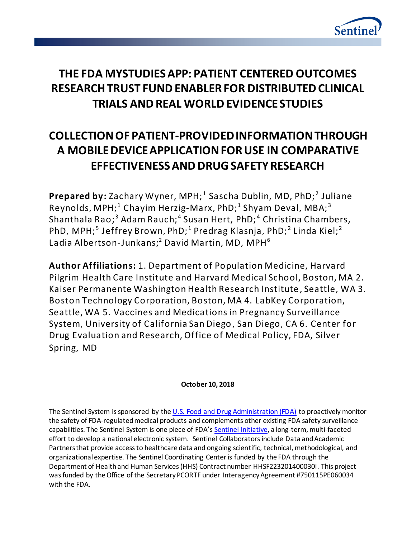

# **THE FDA MYSTUDIES APP: PATIENT CENTERED OUTCOMES RESEARCH TRUST FUND ENABLER FOR DISTRIBUTED CLINICAL TRIALS AND REAL WORLD EVIDENCE STUDIES**

# **COLLECTION OF PATIENT-PROVIDED INFORMATION THROUGH A MOBILE DEVICE APPLICATION FOR USE IN COMPARATIVE EFFECTIVENESS AND DRUG SAFETY RESEARCH**

Prepared by: Zachary Wyner, MPH;<sup>1</sup> Sascha Dublin, MD, PhD;<sup>2</sup> Juliane <code>Reynolds, MPH; $^{\rm 1}$  Chayim Herzig-Marx, PhD; $^{\rm 1}$  Shyam Deval, MBA; $^{\rm 3}$ </code> Shanthala Rao;<sup>3</sup> Adam Rauch;<sup>4</sup> Susan Hert, PhD;<sup>4</sup> Christina Chambers, PhD, MPH; $^5$  Jeffrey Brown, PhD; $^1$  Predrag Klasnja, PhD; $^2$  Linda Kiel; $^2$ Ladia Albertson-Junkans;<sup>2</sup> David Martin, MD, MPH<sup>6</sup>

**Author Affiliations:** 1. Department of Population Medicine, Harvard Pilgrim Health Care Institute and Harvard Medical School, Boston, MA 2. Kaiser Permanente Washington Health Research Institute , Seattle, WA 3. Boston Technology Corporation, Boston, MA 4. LabKey Corporation, Seattle, WA 5. Vaccines and Medications in Pregnancy Surveillance System, University of California San Diego, San Diego, CA 6. Center for Drug Evaluation and Research, Office of Medical Policy, FDA, Silver Spring, MD

# **October 10, 2018**

The Sentinel System is sponsored by the [U.S. Food and Drug Administration \(FDA\)](http://www.fda.gov/) to proactively monitor the safety of FDA-regulated medical products and complements other existing FDA safety surveillance capabilities. The Sentinel System is one piece of FDA's [Sentinel Initiative,](http://www.fda.gov/Safety/FDAsSentinelInitiative/default.htm) a long-term, multi-faceted effort to develop a national electronic system. Sentinel Collaborators include Data and Academic Partners that provide access to healthcare data and ongoing scientific, technical, methodological, and organizational expertise. The Sentinel Coordinating Center is funded by the FDA through the Department of Health and Human Services (HHS) Contract number HHSF223201400030I. This project was funded by the Office of the Secretary PCORTF under Interagency Agreement #750115PE060034 with the FDA.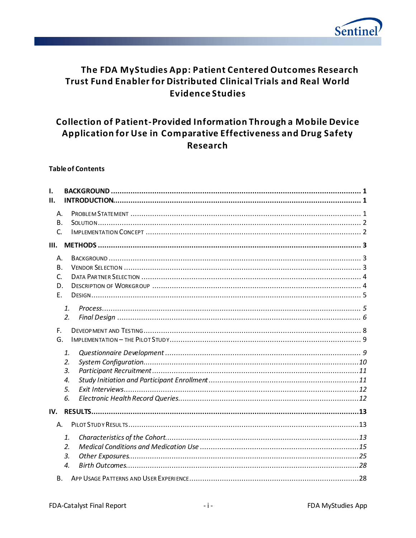

# The FDA MyStudies App: Patient Centered Outcomes Research Trust Fund Enabler for Distributed Clinical Trials and Real World **Evidence Studies**

# **Collection of Patient-Provided Information Through a Mobile Device** Application for Use in Comparative Effectiveness and Drug Safety **Research**

#### **Table of Contents**

| I.<br>Н.                                                  |                                                |  |
|-----------------------------------------------------------|------------------------------------------------|--|
| Α.<br>B.<br>C.                                            |                                                |  |
| Ш.                                                        |                                                |  |
| A.<br>B <sub>1</sub><br>$\mathsf{C}$<br>D.<br>$F_{\perp}$ |                                                |  |
|                                                           | 1.<br>2.                                       |  |
| F.<br>G.                                                  |                                                |  |
|                                                           | 1.<br>2.<br>$\overline{3}$ .<br>4.<br>5.<br>6. |  |
| IV.                                                       |                                                |  |
| Α.                                                        |                                                |  |
| В.                                                        | 1.<br>2.<br>3.<br>4.                           |  |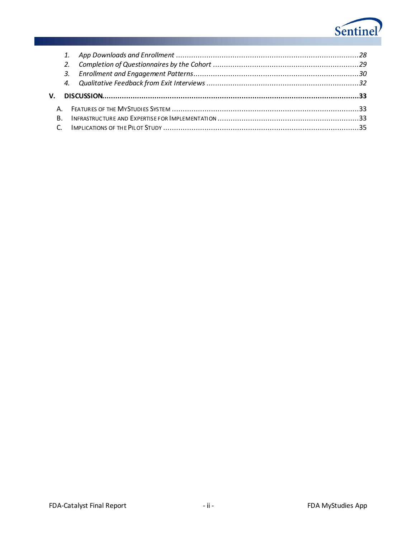

|    | 2.             |  |
|----|----------------|--|
|    |                |  |
|    |                |  |
|    |                |  |
|    |                |  |
|    |                |  |
| V. | $\mathsf{B}$ . |  |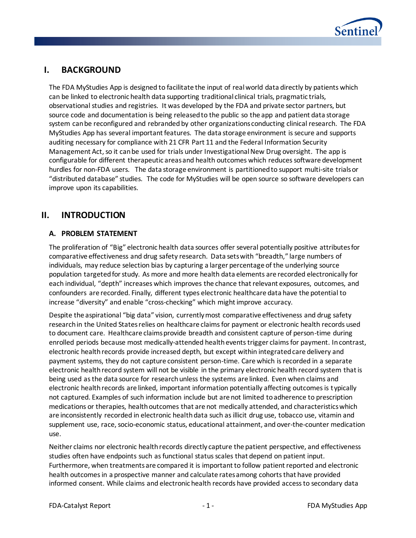

# **I. BACKGROUND**

The FDA MyStudies App is designed to facilitate the input of real world data directly by patients which can be linked to electronic health data supporting traditional clinical trials, pragmatic trials, observational studies and registries. It was developed by the FDA and private sector partners, but source code and documentation is being released to the public so the app and patient data storage system can be reconfigured and rebranded by other organizations conducting clinical research. The FDA MyStudies App has several important features. The data storage environment is secure and supports auditing necessary for compliance with 21 CFR Part 11 and the Federal Information Security Management Act, so it can be used for trials under Investigational New Drug oversight. The app is configurable for different therapeutic areas and health outcomes which reduces software development hurdles for non-FDA users. The data storage environment is partitioned to support multi-site trials or "distributed database" studies. The code for MyStudies will be open source so software developers can improve upon its capabilities.

# **II. INTRODUCTION**

# **A. PROBLEM STATEMENT**

The proliferation of "Big" electronic health data sources offer several potentially positive attributes for comparative effectiveness and drug safety research. Data sets with "breadth," large numbers of individuals, may reduce selection bias by capturing a larger percentage of the underlying source population targeted for study. As more and more health data elements are recorded electronically for each individual, "depth" increases which improves the chance that relevant exposures, outcomes, and confounders are recorded. Finally, different types electronic healthcare data have the potential to increase "diversity" and enable "cross-checking" which might improve accuracy.

Despite the aspirational "big data" vision, currently most comparative effectiveness and drug safety research in the United States relies on healthcare claims for payment or electronic health records used to document care. Healthcare claims provide breadth and consistent capture of person-time during enrolled periods because most medically-attended health events trigger claims for payment. In contrast, electronic health records provide increased depth, but except within integrated care delivery and payment systems, they do not capture consistent person-time. Care which is recorded in a separate electronic health record system will not be visible in the primary electronic health record system that is being used as the data source for research unless the systems are linked. Even when claims and electronic health records are linked, important information potentially affecting outcomes is typically not captured. Examples of such information include but are not limited to adherence to prescription medications or therapies, health outcomes that are not medically attended, and characteristics which are inconsistently recorded in electronic health data such as illicit drug use, tobacco use, vitamin and supplement use, race, socio-economic status, educational attainment, and over-the-counter medication use.

Neither claims nor electronic health records directly capture the patient perspective, and effectiveness studies often have endpoints such as functional status scales that depend on patient input. Furthermore, when treatments are compared it is important to follow patient reported and electronic health outcomes in a prospective manner and calculate rates among cohorts that have provided informed consent. While claims and electronic health records have provided access to secondary data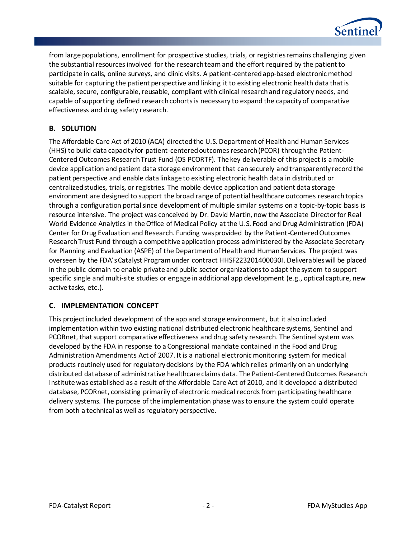

from large populations, enrollment for prospective studies, trials, or registries remains challenging given the substantial resources involved for the research team and the effort required by the patient to participate in calls, online surveys, and clinic visits. A patient-centered app-based electronic method suitable for capturing the patient perspective and linking it to existing electronic health data that is scalable, secure, configurable, reusable, compliant with clinical research and regulatory needs, and capable of supporting defined research cohorts is necessary to expand the capacity of comparative effectiveness and drug safety research.

# **B. SOLUTION**

The Affordable Care Act of 2010 (ACA) directed the U.S. Department of Health and Human Services (HHS) to build data capacity for patient-centered outcomes research (PCOR) through the Patient-Centered Outcomes Research Trust Fund (OS PCORTF). The key deliverable of this project is a mobile device application and patient data storage environment that can securely and transparently record the patient perspective and enable data linkage to existing electronic health data in distributed or centralized studies, trials, or registries. The mobile device application and patient data storage environment are designed to support the broad range of potential healthcare outcomes research topics through a configuration portal since development of multiple similar systems on a topic-by-topic basis is resource intensive. The project was conceived by Dr. David Martin, now the Associate Director for Real World Evidence Analytics in the Office of Medical Policy at the U.S. Food and Drug Administration (FDA) Center for Drug Evaluation and Research. Funding was provided by the Patient-Centered Outcomes Research Trust Fund through a competitive application process administered by the Associate Secretary for Planning and Evaluation (ASPE) of the Department of Health and Human Services. The project was overseen by the FDA's Catalyst Program under contract HHSF223201400030I. Deliverables will be placed in the public domain to enable private and public sector organizations to adapt the system to support specific single and multi-site studies or engage in additional app development (e.g., optical capture, new active tasks, etc.).

## **C. IMPLEMENTATION CONCEPT**

This project included development of the app and storage environment, but it also included implementation within two existing national distributed electronic healthcare systems, Sentinel and PCORnet, that support comparative effectiveness and drug safety research. The Sentinel system was developed by the FDA in response to a Congressional mandate contained in the Food and Drug Administration Amendments Act of 2007. It is a national electronic monitoring system for medical products routinely used for regulatory decisions by the FDA which relies primarily on an underlying distributed database of administrative healthcare claims data. The Patient-Centered Outcomes Research Institute was established as a result of the Affordable Care Act of 2010, and it developed a distributed database, PCORnet, consisting primarily of electronic medical records from participating healthcare delivery systems. The purpose of the implementation phase was to ensure the system could operate from both a technical as well as regulatory perspective.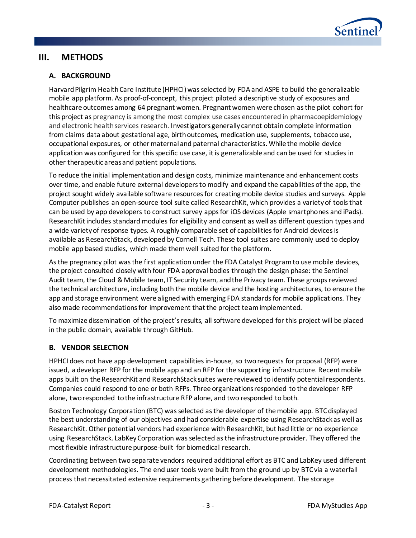

# **III. METHODS**

## **A. BACKGROUND**

Harvard Pilgrim Health Care Institute (HPHCI) was selected by FDA and ASPE to build the generalizable mobile app platform. As proof-of-concept, this project piloted a descriptive study of exposures and healthcare outcomes among 64 pregnant women. Pregnant women were chosen as the pilot cohort for this project as pregnancy is among the most complex use cases encountered in pharmacoepidemiology and electronic health services research. Investigators generally cannot obtain complete information from claims data about gestational age, birth outcomes, medication use, supplements, tobacco use, occupational exposures, or other maternal and paternal characteristics. While the mobile device application was configured for this specific use case, it is generalizable and can be used for studies in other therapeutic areas and patient populations.

To reduce the initial implementation and design costs, minimize maintenance and enhancement costs over time, and enable future external developers to modify and expand the capabilities of the app, the project sought widely available software resources for creating mobile device studies and surveys. Apple Computer publishes an open-source tool suite called ResearchKit, which provides a variety of tools that can be used by app developers to construct survey apps for iOS devices (Apple smartphones and iPads). ResearchKit includes standard modules for eligibility and consent as well as different question types and a wide variety of response types. A roughly comparable set of capabilities for Android devices is available as ResearchStack, developed by Cornell Tech. These tool suites are commonly used to deploy mobile app based studies, which made them well suited for the platform.

As the pregnancy pilot was the first application under th[e FDA Catalyst Program](https://www.sentinelinitiative.org/fda-catalyst)to use mobile devices, the project consulted closely with four FDA approval bodies through the design phase: the Sentinel Audit team, the Cloud & Mobile team, IT Security team, and the Privacy team. These groups reviewed the technical architecture, including both the mobile device and the hosting architectures, to ensure the app and storage environment were aligned with emerging FDA standards for mobile applications. They also made recommendations for improvement that the project team implemented.

To maximize dissemination of the project's results, all software developed for this project will be placed in the public domain, available through GitHub.

#### **B. VENDOR SELECTION**

HPHCI does not have app development capabilities in-house, so two requests for proposal (RFP) were issued, a developer RFP for the mobile app and an RFP for the supporting infrastructure. Recent mobile apps built on the ResearchKit and ResearchStack suites were reviewed to identify potential respondents. Companies could respond to one or both RFPs. Three organizations responded to the developer RFP alone, two responded to the infrastructure RFP alone, and two responded to both.

Boston Technology Corporation (BTC) was selected as the developer of the mobile app. BTC displayed the best understanding of our objectives and had considerable expertise using ResearchStack as well as ResearchKit. Other potential vendors had experience with ResearchKit, but had little or no experience using ResearchStack. LabKey Corporation was selected as the infrastructure provider. They offered the most flexible infrastructure purpose-built for biomedical research.

Coordinating between two separate vendors required additional effort as BTC and LabKey used different development methodologies. The end user tools were built from the ground up by BTC via a waterfall process that necessitated extensive requirements gathering before development. The storage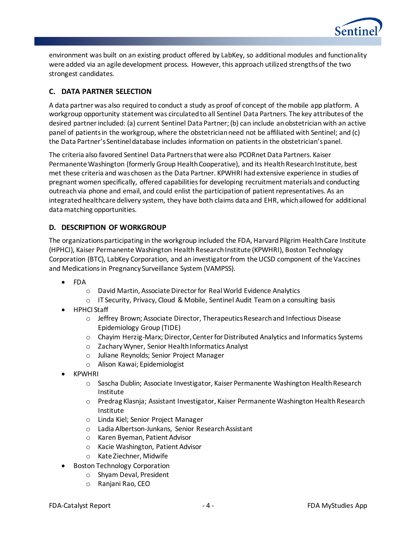

environment was built on an existing product offered by LabKey, so additional modules and functionality were added via an agile development process. However, this approach utilized strengths of the two strongest candidates.

# **C. DATA PARTNER SELECTION**

A data partner was also required to conduct a study as proof of concept of the mobile app platform. A workgroup opportunity statement was circulated to all Sentinel Data Partners. The key attributes of the desired partner included: (a) current Sentinel Data Partner; (b) can include an obstetrician with an active panel of patients in the workgroup, where the obstetrician need not be affiliated with Sentinel; and (c) the Data Partner's Sentinel database includes information on patients in the obstetrician's panel.

The criteria also favored Sentinel Data Partners that were also PCORnet Data Partners. Kaiser Permanente Washington (formerly Group Health Cooperative), and its Health Research Institute, best met these criteria and was chosen as the Data Partner. KPWHRI had extensive experience in studies of pregnant women specifically, offered capabilities for developing recruitment materials and conducting outreach via phone and email, and could enlist the participation of patient representatives. As an integrated healthcare delivery system, they have both claims data and EHR, which allowed for additional data matching opportunities.

## **D. DESCRIPTION OF WORKGROUP**

The organizations participating in the workgroup included the FDA, Harvard Pilgrim Health Care Institute (HPHCI), Kaiser Permanente Washington Health Research Institute (KPWHRI), Boston Technology Corporation (BTC), LabKey Corporation, and an investigator from the UCSD component of the Vaccines and Medications in Pregnancy Surveillance System (VAMPSS).

- FDA
	- o David Martin, Associate Director for Real World Evidence Analytics
	- o IT Security, Privacy, Cloud & Mobile, Sentinel Audit Team on a consulting basis
- HPHCI Staff
	- o Jeffrey Brown; Associate Director, Therapeutics Research and Infectious Disease Epidemiology Group (TIDE)
	- o Chayim Herzig-Marx; Director, Center for Distributed Analytics and Informatics Systems
	- o Zachary Wyner, Senior Health Informatics Analyst
	- o Juliane Reynolds; Senior Project Manager
	- o Alison Kawai; Epidemiologist
- KPWHRI
	- o Sascha Dublin; Associate Investigator, Kaiser Permanente Washington Health Research Institute
	- o Predrag Klasnja; Assistant Investigator, Kaiser Permanente Washington Health Research Institute
	- o Linda Kiel; Senior Project Manager
	- o Ladia Albertson-Junkans, Senior Research Assistant
	- o Karen Byeman, Patient Advisor
	- o Kacie Washington, Patient Advisor
	- o Kate Ziechner, Midwife
- Boston Technology Corporation
	- o Shyam Deval, President
	- o Ranjani Rao, CEO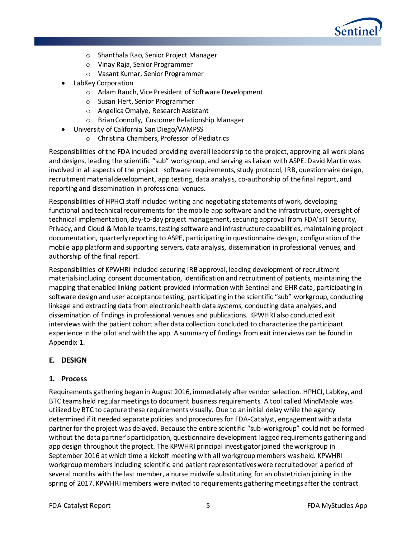

- o Shanthala Rao, Senior Project Manager
- o Vinay Raja, Senior Programmer
- o Vasant Kumar, Senior Programmer
- LabKey Corporation
	- o Adam Rauch, Vice President of Software Development
	- o Susan Hert, Senior Programmer
	- o Angelica Omaiye, ResearchAssistant
	- o Brian Connolly, Customer Relationship Manager
- University of California San Diego/VAMPSS
	- o Christina Chambers, Professor of Pediatrics

Responsibilities of the FDA included providing overall leadership to the project, approving all work plans and designs, leading the scientific "sub" workgroup, and serving as liaison with ASPE. David Martin was involved in all aspects of the project –software requirements, study protocol, IRB, questionnaire design, recruitment material development, app testing, data analysis, co-authorship of the final report, and reporting and dissemination in professional venues.

Responsibilities of HPHCI staff included writing and negotiating statements of work, developing functional and technical requirements for the mobile app software and the infrastructure, oversight of technical implementation, day-to-day project management, securing approval from FDA's IT Security, Privacy, and Cloud & Mobile teams, testing software and infrastructure capabilities, maintaining project documentation, quarterly reporting to ASPE, participating in questionnaire design, configuration of the mobile app platform and supporting servers, data analysis, dissemination in professional venues, and authorship of the final report.

Responsibilities of KPWHRI included securing IRB approval, leading development of recruitment materials including consent documentation, identification and recruitment of patients, maintaining the mapping that enabled linking patient-provided information with Sentinel and EHR data, participating in software design and user acceptance testing, participating in the scientific "sub" workgroup, conducting linkage and extracting data from electronic health data systems, conducting data analyses, and dissemination of findings in professional venues and publications. KPWHRI also conducted exit interviews with the patient cohort after data collection concluded to characterize the participant experience in the pilot and with the app. A summary of findings from exit interviews can be found in Appendix 1.

## **E. DESIGN**

#### **1. Process**

Requirements gathering began in August 2016, immediately after vendor selection. HPHCI, LabKey, and BTC teams held regular meetings to document business requirements. A tool called MindMaple was utilized by BTC to capture these requirements visually. Due to an initial delay while the agency determined if it needed separate policies and procedures for FDA-Catalyst, engagement with a data partner for the project was delayed. Because the entire scientific "sub-workgroup" could not be formed without the data partner's participation, questionnaire development lagged requirements gathering and app design throughout the project. The KPWHRI principal investigator joined the workgroup in September 2016 at which time a kickoff meeting with all workgroup members was held. KPWHRI workgroup members including scientific and patient representatives were recruited over a period of several months with the last member, a nurse midwife substituting for an obstetrician joining in the spring of 2017. KPWHRI members were invited to requirements gathering meetings after the contract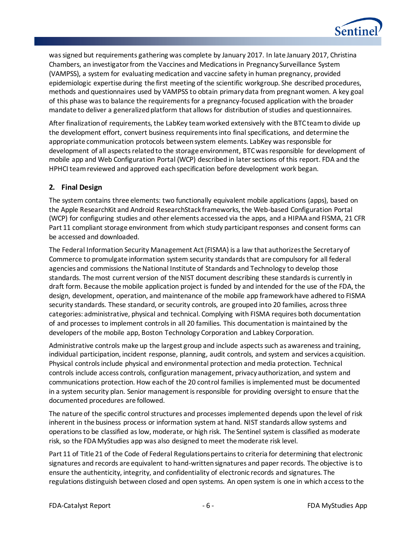

was signed but requirements gathering was complete by January 2017. In late January 2017, Christina Chambers, an investigator from the Vaccines and Medications in Pregnancy Surveillance System (VAMPSS), a system for evaluating medication and vaccine safety in human pregnancy, provided epidemiologic expertise during the first meeting of the scientific workgroup. She described procedures, methods and questionnaires used by VAMPSS to obtain primary data from pregnant women. A key goal of this phase was to balance the requirements for a pregnancy-focused application with the broader mandate to deliver a generalized platform that allows for distribution of studies and questionnaires.

After finalization of requirements, the LabKey team worked extensively with the BTC team to divide up the development effort, convert business requirements into final specifications, and determine the appropriate communication protocols between system elements. LabKey was responsible for development of all aspects related to the storage environment, BTC was responsible for development of mobile app and Web Configuration Portal (WCP) described in later sections of this report. FDA and the HPHCI team reviewed and approved each specification before development work began.

## **2. Final Design**

The system contains three elements: two functionally equivalent mobile applications (apps), based on the Apple ResearchKit and Android ResearchStack frameworks, the Web-based Configuration Portal (WCP) for configuring studies and other elements accessed via the apps, and a HIPAA and FISMA, 21 CFR Part 11 compliant storage environment from which study participant responses and consent forms can be accessed and downloaded.

The Federal Information Security Management Act (FISMA) is a law that authorizes the Secretary of Commerce to promulgate information system security standards that are compulsory for all federal agencies and commissions the National Institute of Standards and Technology to develop those standards. Th[e most current version](https://csrc.nist.gov/CSRC/media/Publications/sp/800-53/rev-5/draft/documents/sp800-53r5-draft.pdf) of the NIST document describing these standards is currently in draft form. Because the mobile application project is funded by and intended for the use of the FDA, the design, development, operation, and maintenance of the mobile app framework have adhered to FISMA security standards. These standard, or security controls, are grouped into 20 families, across three categories: administrative, physical and technical. Complying with FISMA requires both documentation of and processes to implement controls in all 20 families. This documentation is maintained by the developers of the mobile app, Boston Technology Corporation and Labkey Corporation.

Administrative controls make up the largest group and include aspects such as awareness and training, individual participation, incident response, planning, audit controls, and system and services acquisition. Physical controls include physical and environmental protection and media protection. Technical controls include access controls, configuration management, privacy authorization, and system and communications protection. How each of the 20 control families is implemented must be documented in a system security plan. Senior management is responsible for providing oversight to ensure that the documented procedures are followed.

The nature of the specific control structures and processes implemented depends upon the level of risk inherent in the business process or information system at hand. NIST standards allow systems and operations to be classified as low, moderate, or high risk. The Sentinel system is classified as moderate risk, so the FDA MyStudies app was also designed to meet the moderate risk level.

Part 11 of Title 21 of the Code of Federal Regulations pertains to criteria for determining that electronic signatures and records are equivalent to hand-written signatures and paper records. The objective is to ensure the authenticity, integrity, and confidentiality of electronic records and signatures. The [regulations](https://ecfr.io/Title-21/pt21.1.11) distinguish between closed and open systems. An open system is one in which access to the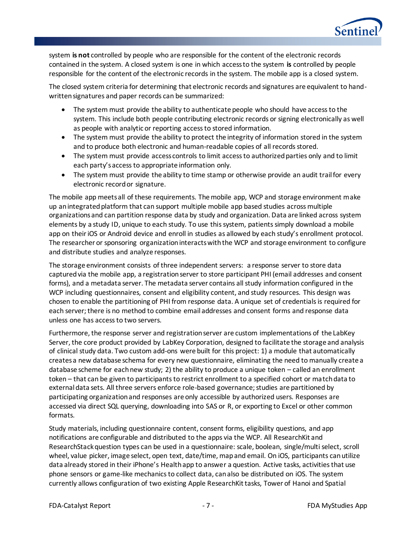

system **is not** controlled by people who are responsible for the content of the electronic records contained in the system. A closed system is one in which access to the system **is** controlled by people responsible for the content of the electronic records in the system. The mobile app is a closed system.

The closed system criteria for determining that electronic records and signatures are equivalent to handwritten signatures and paper records can be summarized:

- The system must provide the ability to authenticate people who should have access to the system. This include both people contributing electronic records or signing electronically as well as people with analytic or reporting access to stored information.
- The system must provide the ability to protect the integrity of information stored in the system and to produce both electronic and human-readable copies of all records stored.
- The system must provide access controls to limit access to authorized parties only and to limit each party's access to appropriate information only.
- The system must provide the ability to time stamp or otherwise provide an audit trail for every electronic record or signature.

The mobile app meets all of these requirements. The mobile app, WCP and storage environment make up an integrated platform that can support multiple mobile app based studies across multiple organizations and can partition response data by study and organization. Data are linked across system elements by a study ID, unique to each study. To use this system, patients simply download a mobile app on their iOS or Android device and enroll in studies as allowed by each study's enrollment protocol. The researcher or sponsoring organization interacts with the WCP and storage environment to configure and distribute studies and analyze responses.

The storage environment consists of three independent servers: a response server to store data captured via the mobile app, a registration server to store participant PHI (email addresses and consent forms), and a metadata server. The metadata server contains all study information configured in the WCP including questionnaires, consent and eligibility content, and study resources. This design was chosen to enable the partitioning of PHI from response data. A unique set of credentials is required for each server; there is no method to combine email addresses and consent forms and response data unless one has access to two servers.

Furthermore, the response server and registration server are custom implementations of the LabKey Server, the core product provided by LabKey Corporation, designed to facilitate the storage and analysis of clinical study data. Two custom add-ons were built for this project: 1) a module that automatically creates a new database schema for every new questionnaire, eliminating the need to manually create a database scheme for each new study; 2) the ability to produce a unique token – called an enrollment token – that can be given to participants to restrict enrollment to a specified cohort or match data to external data sets. All three servers enforce role-based governance; studies are partitioned by participating organization and responses are only accessible by authorized users. Responses are accessed via direct SQL querying, downloading into SAS or R, or exporting to Excel or other common formats.

Study materials, including questionnaire content, consent forms, eligibility questions, and app notifications are configurable and distributed to the apps via the WCP. All ResearchKit and ResearchStack question types can be used in a questionnaire: scale, boolean, single/multi select, scroll wheel, value picker, image select, open text, date/time, map and email. On iOS, participants can utilize data already stored in their iPhone's Health app to answer a question. Active tasks, activities that use phone sensors or game-like mechanics to collect data, can also be distributed on iOS. The system currently allows configuration of two existing Apple ResearchKit tasks, Tower of Hanoi and Spatial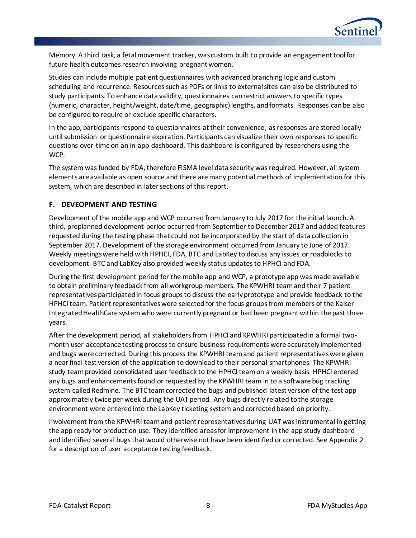

Memory. A third task, a fetal movement tracker, was custom built to provide an engagement tool for future health outcomes research involving pregnant women.

Studies can include multiple patient questionnaires with advanced branching logic and custom scheduling and recurrence. Resources such as PDFs or links to external sites can also be distributed to study participants. To enhance data validity, questionnaires can restrict answers to specific types (numeric, character, height/weight, date/time, geographic)lengths, and formats. Responses can be also be configured to require or exclude specific characters.

In the app, participants respond to questionnaires at their convenience, as responses are stored locally until submission or questionnaire expiration. Participants can visualize their own responses to specific questions over time on an in-app dashboard. This dashboard is configured by researchers using the WCP.

The system was funded by FDA, therefore FISMA level data security was required. However, all system elements are available as open source and there are many potential methods of implementation for this system, which are described in later sections of this report.

#### **F. DEVEOPMENT AND TESTING**

Development of the mobile app and WCP occurred from January to July 2017 for the initial launch. A third, preplanned development period occurred from September to December 2017 and added features requested during the testing phase that could not be incorporated by the start of data collection in September 2017. Development of the storage environment occurred from January to June of 2017. Weekly meetings were held with HPHCI, FDA, BTC and LabKey to discuss any issues or roadblocks to development. BTC and LabKey also provided weekly status updates to HPHCI and FDA.

During the first development period for the mobile app and WCP, a prototype app was made available to obtain preliminary feedback from all workgroup members. The KPWHRI team and their 7 patient representatives participated in focus groups to discuss the early prototype and provide feedback to the HPHCI team. Patient representatives were selected for the focus groupsfrom members of the Kaiser Integrated HealthCare system who were currently pregnant or had been pregnant within the past three years.

After the development period, all stakeholders from HPHCI and KPWHRI participated in a formal twomonth user acceptance testing process to ensure business requirements were accurately implemented and bugs were corrected. During this process the KPWHRI team and patient representatives were given a near final test version of the application to download to their personal smartphones. The KPWHRI study team provided consolidated user feedback to the HPHCI team on a weekly basis. HPHCI entered any bugs and enhancements found or requested by the KPWHRI team in to a software bug tracking system called Redmine. The BTC team corrected the bugs and published latest version of the test app approximately twice per week during the UAT period. Any bugs directly related to the storage environment were entered into the LabKey ticketing system and corrected based on priority.

Involvement from the KPWHRI team and patient representatives during UAT was instrumental in getting the app ready for production use. They identified areas for improvement in the app study dashboard and identified several bugs that would otherwise not have been identified or corrected. See Appendix 2 for a description of user acceptance testing feedback.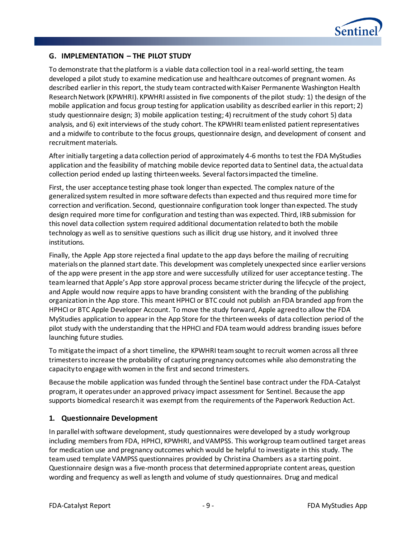

# **G. IMPLEMENTATION – THE PILOT STUDY**

To demonstrate that the platform is a viable data collection tool in a real-world setting, the team developed a pilot study to examine medication use and healthcare outcomes of pregnant women. As described earlier in this report, the study team contracted with Kaiser Permanente Washington Health Research Network (KPWHRI). KPWHRI assisted in five components of the pilot study: 1) the design of the mobile application and focus group testing for application usability as described earlier in this report; 2) study questionnaire design; 3) mobile application testing; 4) recruitment of the study cohort 5) data analysis, and 6) exit interviews of the study cohort. The KPWHRI team enlisted patient representatives and a midwife to contribute to the focus groups, questionnaire design, and development of consent and recruitment materials.

After initially targeting a data collection period of approximately 4-6 months to test the FDA MyStudies application and the feasibility of matching mobile device reported data to Sentinel data, the actual data collection period ended up lasting thirteen weeks. Several factors impacted the timeline.

First, the user acceptance testing phase took longer than expected. The complex nature of the generalized system resulted in more software defects than expected and thus required more time for correction and verification. Second, questionnaire configuration took longer than expected. The study design required more time for configuration and testing than was expected. Third, IRB submission for this novel data collection system required additional documentation related to both the mobile technology as well as to sensitive questions such as illicit drug use history, and it involved three institutions.

Finally, the Apple App store rejected a final update to the app days before the mailing of recruiting materials on the planned start date. This development was completely unexpected since earlier versions of the app were present in the app store and were successfully utilized for user acceptance testing. The team learned that Apple's App store approval process became stricter during the lifecycle of the project, and Apple would now require apps to have branding consistent with the branding of the publishing organization in the App store. This meant HPHCI or BTC could not publish an FDA branded app from the HPHCI or BTC Apple Developer Account. To move the study forward, Apple agreed to allow the FDA MyStudies application to appear in the App Store for the thirteen weeks of data collection period of the pilot study with the understanding that the HPHCI and FDA team would address branding issues before launching future studies.

To mitigate the impact of a short timeline, the KPWHRI team sought to recruit women across all three trimesters to increase the probability of capturing pregnancy outcomes while also demonstrating the capacity to engage with women in the first and second trimesters.

Because the mobile application was funded through the Sentinel base contract under the FDA-Catalyst program, it operates under an approved privacy impact assessment for Sentinel. Because the app supports biomedical research it was exempt from the requirements of the Paperwork Reduction Act.

## **1. Questionnaire Development**

In parallel with software development, study questionnaires were developed by a study workgroup including members from FDA, HPHCI, KPWHRI, and VAMPSS. This workgroup team outlined target areas for medication use and pregnancy outcomes which would be helpful to investigate in this study. The team used template VAMPSS questionnaires provided by Christina Chambers as a starting point. Questionnaire design was a five-month process that determined appropriate content areas, question wording and frequency as well as length and volume of study questionnaires. Drug and medical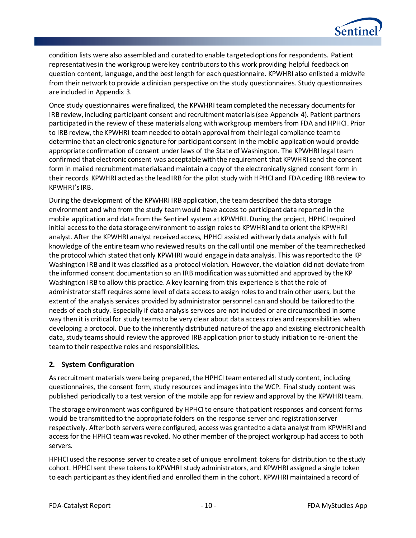

condition lists were also assembled and curated to enable targeted options for respondents. Patient representatives in the workgroup were key contributors to this work providing helpful feedback on question content, language, and the best length for each questionnaire. KPWHRI also enlisted a midwife from their network to provide a clinician perspective on the study questionnaires. Study questionnaires are included in Appendix 3.

Once study questionnaires were finalized, the KPWHRI team completed the necessary documents for IRB review, including participant consent and recruitment materials (see Appendix 4). Patient partners participated in the review of these materials along with workgroup members from FDA and HPHCI. Prior to IRB review, the KPWHRI team needed to obtain approval from their legal compliance team to determine that an electronic signature for participant consent in the mobile application would provide appropriate confirmation of consent under laws of the State of Washington. The KPWHRI legal team confirmed that electronic consent was acceptable with the requirement that KPWHRI send the consent form in mailed recruitment materials and maintain a copy of the electronically signed consent form in their records. KPWHRI acted as the lead IRB for the pilot study with HPHCI and FDA ceding IRB review to KPWHRI's IRB.

During the development of the KPWHRI IRB application, the team described the data storage environment and who from the study team would have access to participant data reported in the mobile application and data from the Sentinel system at KPWHRI. During the project, HPHCI required initial access to the data storage environment to assign roles to KPWHRI and to orient the KPWHRI analyst. After the KPWHRI analyst received access, HPHCI assisted with early data analysis with full knowledge of the entire team who reviewed results on the call until one member of the team rechecked the protocol which stated that only KPWHRI would engage in data analysis. This was reported to the KP Washington IRB and it was classified as a protocol violation. However, the violation did not deviate from the informed consent documentation so an IRB modification was submitted and approved by the KP Washington IRB to allow this practice. A key learning from this experience is that the role of administrator staff requires some level of data access to assign roles to and train other users, but the extent of the analysis services provided by administrator personnel can and should be tailored to the needs of each study. Especially if data analysis services are not included or are circumscribed in some way then it is critical for study teams to be very clear about data access roles and responsibilities when developing a protocol. Due to the inherently distributed nature of the app and existing electronic health data, study teams should review the approved IRB application prior to study initiation to re-orient the team to their respective roles and responsibilities.

## **2. System Configuration**

As recruitment materials were being prepared, the HPHCI team entered all study content, including questionnaires, the consent form, study resources and images into the WCP. Final study content was published periodically to a test version of the mobile app for review and approval by the KPWHRI team.

The storage environment was configured by HPHCI to ensure that patient responses and consent forms would be transmitted to the appropriate folders on the response server and registration server respectively. After both servers were configured, access was granted to a data analyst from KPWHRI and access for the HPHCI team was revoked. No other member of the project workgroup had access to both servers.

HPHCI used the response server to create a set of unique enrollment tokens for distribution to the study cohort. HPHCI sent these tokens to KPWHRI study administrators, and KPWHRI assigned a single token to each participant as they identified and enrolled them in the cohort. KPWHRI maintained a record of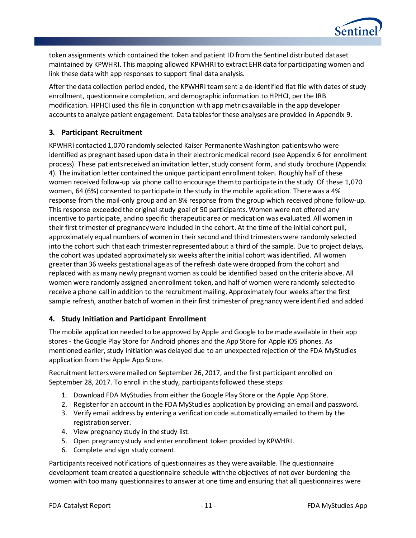

token assignments which contained the token and patient ID from the Sentinel distributed dataset maintained by KPWHRI. This mapping allowed KPWHRI to extract EHR data for participating women and link these data with app responses to support final data analysis.

After the data collection period ended, the KPWHRI team sent a de-identified flat file with dates of study enrollment, questionnaire completion, and demographic information to HPHCI, per the IRB modification. HPHCI used this file in conjunction with app metrics available in the app developer accounts to analyze patient engagement. Data tables for these analyses are provided in Appendix 9.

## **3. Participant Recruitment**

KPWHRI contacted 1,070 randomly selected Kaiser Permanente Washington patients who were identified as pregnant based upon data in their electronic medical record (see Appendix 6 for enrollment process). These patients received an invitation letter, study consent form, and study brochure (Appendix 4). The invitation letter contained the unique participant enrollment token. Roughly half of these women received follow-up via phone call to encourage them to participate in the study. Of these 1,070 women, 64 (6%) consented to participate in the study in the mobile application. There was a 4% response from the mail-only group and an 8% response from the group which received phone follow-up. This response exceeded the original study goal of 50 participants. Women were not offered any incentive to participate, and no specific therapeutic area or medication was evaluated. All women in their first trimester of pregnancy were included in the cohort. At the time of the initial cohort pull, approximately equal numbers of women in their second and third trimesters were randomly selected into the cohort such that each trimester represented about a third of the sample. Due to project delays, the cohort was updated approximately six weeks after the initial cohort was identified. All women greater than 36 weeks gestational age as of the refresh date were dropped from the cohort and replaced with as many newly pregnant women as could be identified based on the criteria above. All women were randomly assigned an enrollment token, and half of women were randomly selected to receive a phone call in addition to the recruitment mailing. Approximately four weeks after the first sample refresh, another batch of women in their first trimester of pregnancy were identified and added

## **4. Study Initiation and Participant Enrollment**

The mobile application needed to be approved by Apple and Google to be made available in their app stores - the Google Play Store for Android phones and the App Store for Apple iOS phones. As mentioned earlier, study initiation was delayed due to an unexpected rejection of the FDA MyStudies application from the Apple App Store.

Recruitment letters were mailed on September 26, 2017, and the first participant enrolled on September 28, 2017. To enroll in the study, participants followed these steps:

- 1. Download FDA MyStudies from either the Google Play Store or the Apple App Store.
- 2. Register for an account in the FDA MyStudies application by providing an email and password.
- 3. Verify email address by entering a verification code automatically emailed to them by the registration server.
- 4. View pregnancy study in the study list.
- 5. Open pregnancy study and enter enrollment token provided by KPWHRI.
- 6. Complete and sign study consent.

Participants received notifications of questionnaires as they were available. The questionnaire development team created a questionnaire schedule with the objectives of not over-burdening the women with too many questionnaires to answer at one time and ensuring that all questionnaires were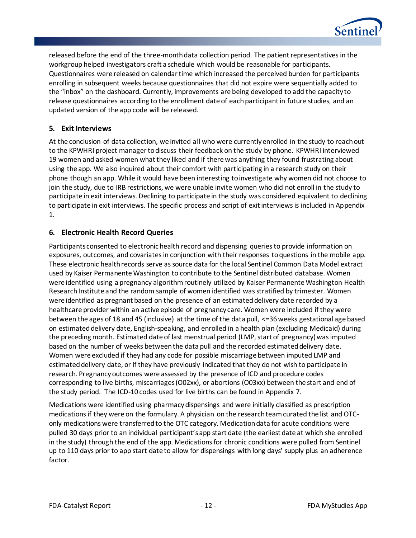

released before the end of the three-month data collection period. The patient representatives in the workgroup helped investigators craft a schedule which would be reasonable for participants. Questionnaires were released on calendar time which increased the perceived burden for participants enrolling in subsequent weeks because questionnaires that did not expire were sequentially added to the "inbox" on the dashboard. Currently, improvements are being developed to add the capacity to release questionnaires according to the enrollment date of each participant in future studies, and an updated version of the app code will be released.

## **5. Exit Interviews**

At the conclusion of data collection, we invited all who were currently enrolled in the study to reach out to the KPWHRI project manager to discuss their feedback on the study by phone. KPWHRI interviewed 19 women and asked women what they liked and if there was anything they found frustrating about using the app. We also inquired about their comfort with participating in a research study on their phone though an app. While it would have been interesting to investigate why women did not choose to join the study, due to IRB restrictions, we were unable invite women who did not enroll in the study to participate in exit interviews. Declining to participate in the study was considered equivalent to declining to participate in exit interviews. The specific process and script of exit interviews is included in Appendix 1.

## **6. Electronic Health Record Queries**

Participants consented to electronic health record and dispensing queries to provide information on exposures, outcomes, and covariates in conjunction with their responses to questions in the mobile app. These electronic health records serve as source data for the local Sentinel Common Data Model extract used by Kaiser Permanente Washington to contribute to the Sentinel distributed database. Women were identified using a pregnancy algorithm routinely utilized by Kaiser Permanente Washington Health Research Institute and the random sample of women identified was stratified by trimester. Women were identified as pregnant based on the presence of an estimated delivery date recorded by a healthcare provider within an active episode of pregnancy care. Women were included if they were between the ages of 18 and 45 (inclusive) at the time of the data pull, <=36 weeks gestational age based on estimated delivery date, English-speaking, and enrolled in a health plan (excluding Medicaid) during the preceding month. Estimated date of last menstrual period (LMP, start of pregnancy) was imputed based on the number of weeks between the data pull and the recorded estimated delivery date. Women were excluded if they had any code for possible miscarriage between imputed LMP and estimated delivery date, or if they have previously indicated that they do not wish to participate in research. Pregnancy outcomes were assessed by the presence of ICD and procedure codes corresponding to live births, miscarriages (O02xx), or abortions (O03xx) between the start and end of the study period. The ICD-10 codes used for live births can be found in Appendix 7.

Medications were identified using pharmacy dispensings and were initially classified as prescription medications if they were on the formulary. A physician on the research team curated the list and OTConly medications were transferred to the OTC category. Medication data for acute conditions were pulled 30 days prior to an individual participant's app start date (the earliest date at which she enrolled in the study) through the end of the app. Medications for chronic conditions were pulled from Sentinel up to 110 days prior to app start date to allow for dispensings with long days' supply plus an adherence factor.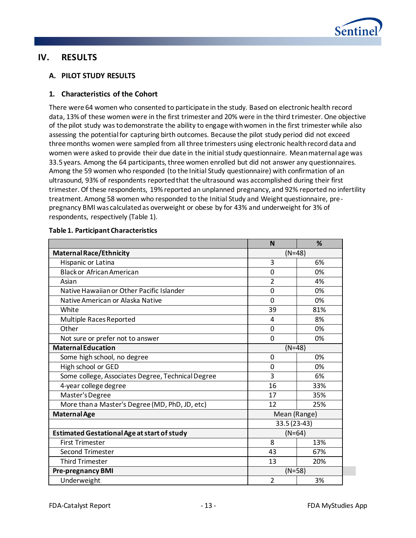

# **IV. RESULTS**

# **A. PILOT STUDY RESULTS**

## **1. Characteristics of the Cohort**

There were 64 women who consented to participate in the study. Based on electronic health record data, 13% of these women were in the first trimester and 20% were in the third trimester. One objective of the pilot study was to demonstrate the ability to engage with women in the first trimester while also assessing the potential for capturing birth outcomes. Because the pilot study period did not exceed three months women were sampled from all three trimesters using electronic health record data and women were asked to provide their due date in the initial study questionnaire. Mean maternal age was 33.5 years. Among the 64 participants, three women enrolled but did not answer any questionnaires. Among the 59 women who responded (to the Initial Study questionnaire) with confirmation of an ultrasound, 93% of respondents reported that the ultrasound was accomplished during their first trimester. Of these respondents, 19% reported an unplanned pregnancy, and 92% reported no infertility treatment. Among 58 women who responded to the Initial Study and Weight questionnaire, prepregnancy BMI was calculated as overweight or obese by for 43% and underweight for 3% of respondents, respectively [\(Table 1\)](#page-15-0).

|                                                    | N              | %        |  |  |  |
|----------------------------------------------------|----------------|----------|--|--|--|
| <b>Maternal Race/Ethnicity</b>                     | $(N=48)$       |          |  |  |  |
| Hispanic or Latina                                 | 3              | 6%       |  |  |  |
| <b>Black or African American</b>                   | $\overline{0}$ | 0%       |  |  |  |
| Asian                                              | 2              | 4%       |  |  |  |
| Native Hawaiian or Other Pacific Islander          | $\Omega$       | 0%       |  |  |  |
| Native American or Alaska Native                   | $\Omega$       | 0%       |  |  |  |
| White                                              | 39             | 81%      |  |  |  |
| Multiple Races Reported                            | 4              | 8%       |  |  |  |
| Other                                              | $\Omega$       | 0%       |  |  |  |
| Not sure or prefer not to answer                   | $\Omega$       | 0%       |  |  |  |
| <b>Maternal Education</b>                          |                | $(N=48)$ |  |  |  |
| Some high school, no degree                        | 0              | 0%       |  |  |  |
| High school or GED                                 | $\overline{0}$ | 0%       |  |  |  |
| Some college, Associates Degree, Technical Degree  | 3              | 6%       |  |  |  |
| 4-year college degree                              | 16             | 33%      |  |  |  |
| Master's Degree                                    | 17<br>35%      |          |  |  |  |
| More than a Master's Degree (MD, PhD, JD, etc)     | 12             | 25%      |  |  |  |
| <b>Maternal Age</b>                                | Mean (Range)   |          |  |  |  |
|                                                    | 33.5 (23-43)   |          |  |  |  |
| <b>Estimated Gestational Age at start of study</b> | $(N=64)$       |          |  |  |  |
| <b>First Trimester</b>                             | 8              | 13%      |  |  |  |
| <b>Second Trimester</b>                            | 43             | 67%      |  |  |  |
| <b>Third Trimester</b>                             | 13             | 20%      |  |  |  |
| <b>Pre-pregnancy BMI</b>                           | $(N=58)$       |          |  |  |  |
| $\overline{2}$<br>Underweight<br>3%                |                |          |  |  |  |

#### <span id="page-15-0"></span>**Table 1. Participant Characteristics**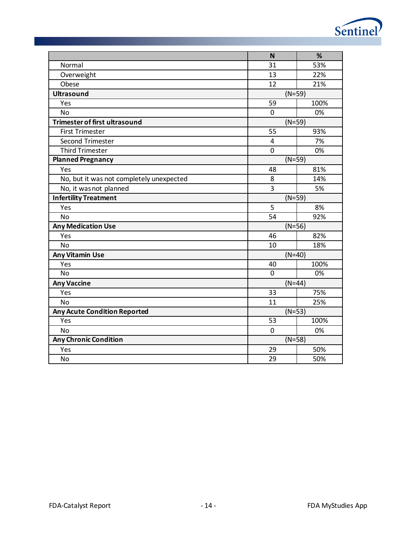|                                          | N               | %    |  |
|------------------------------------------|-----------------|------|--|
| Normal                                   | 31              | 53%  |  |
| Overweight                               | 13              | 22%  |  |
| Obese                                    | 12              | 21%  |  |
| <b>Ultrasound</b>                        | $(N=59)$        |      |  |
| Yes                                      | 59              | 100% |  |
| <b>No</b>                                | $\mathbf 0$     | 0%   |  |
| <b>Trimester of first ultrasound</b>     | $(N=59)$        |      |  |
| <b>First Trimester</b>                   | 55              | 93%  |  |
| Second Trimester                         | $\overline{4}$  | 7%   |  |
| <b>Third Trimester</b>                   | $\mathbf 0$     | 0%   |  |
| <b>Planned Pregnancy</b>                 | $(N=59)$        |      |  |
| Yes                                      | 48              | 81%  |  |
| No, but it was not completely unexpected | 8               | 14%  |  |
| No, it was not planned                   | 3               | 5%   |  |
| <b>Infertility Treatment</b>             | $(N=59)$        |      |  |
| Yes                                      | 5               | 8%   |  |
| <b>No</b>                                | 54              | 92%  |  |
| <b>Any Medication Use</b>                | $(N=56)$        |      |  |
| Yes                                      | 46              | 82%  |  |
| <b>No</b>                                | 10              | 18%  |  |
| <b>Any Vitamin Use</b>                   | $(N=40)$        |      |  |
| Yes                                      | 40              | 100% |  |
| <b>No</b>                                | $\mathbf 0$     | 0%   |  |
| <b>Any Vaccine</b>                       | $(N=44)$        |      |  |
| Yes                                      | 33              | 75%  |  |
| <b>No</b>                                | 11              | 25%  |  |
| <b>Any Acute Condition Reported</b>      | $(N=53)$        |      |  |
| Yes                                      | $\overline{53}$ | 100% |  |
| <b>No</b>                                | $\mathbf 0$     | 0%   |  |
| <b>Any Chronic Condition</b>             | $(N=58)$        |      |  |
| Yes                                      | 29              | 50%  |  |
| <b>No</b>                                | 29              | 50%  |  |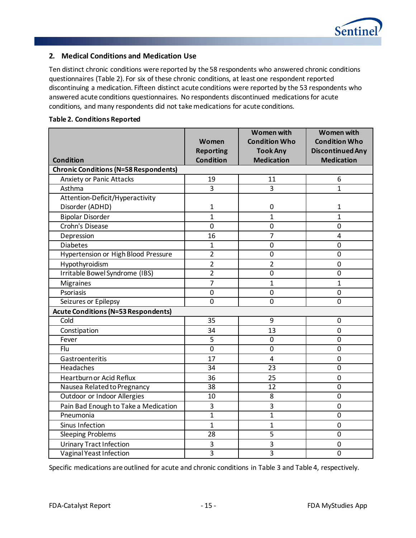

## **2. Medical Conditions and Medication Use**

Ten distinct chronic conditions were reported by the 58 respondents who answered chronic conditions questionnaires [\(Table 2\)](#page-17-0). For six of these chronic conditions, at least one respondent reported discontinuing a medication. Fifteen distinct acute conditions were reported by the 53 respondents who answered acute conditions questionnaires. No respondents discontinued medications for acute conditions, and many respondents did not take medications for acute conditions.

<span id="page-17-0"></span>

|                                              |                  | <b>Women with</b>    | <b>Women with</b>       |
|----------------------------------------------|------------------|----------------------|-------------------------|
|                                              | Women            | <b>Condition Who</b> | <b>Condition Who</b>    |
|                                              | <b>Reporting</b> | <b>Took Any</b>      | <b>Discontinued Any</b> |
| <b>Condition</b>                             | <b>Condition</b> | <b>Medication</b>    | <b>Medication</b>       |
| <b>Chronic Conditions (N=58 Respondents)</b> |                  |                      |                         |
| <b>Anxiety or Panic Attacks</b>              | 19               | 11                   | 6                       |
| Asthma                                       | $\overline{3}$   | $\overline{3}$       | $\mathbf{1}$            |
| Attention-Deficit/Hyperactivity              |                  |                      |                         |
| Disorder (ADHD)                              | 1                | $\pmb{0}$            | 1                       |
| <b>Bipolar Disorder</b>                      | $\overline{1}$   | $\mathbf{1}$         | $\mathbf{1}$            |
| Crohn's Disease                              | $\overline{0}$   | $\mathbf 0$          | $\mathbf 0$             |
| Depression                                   | 16               | $\overline{7}$       | 4                       |
| <b>Diabetes</b>                              | $\mathbf{1}$     | $\mathbf 0$          | 0                       |
| <b>Hypertension or High Blood Pressure</b>   | $\overline{2}$   | $\overline{0}$       | $\overline{0}$          |
| Hypothyroidism                               | $\overline{2}$   | $\overline{2}$       | $\overline{0}$          |
| Irritable Bowel Syndrome (IBS)               | $\overline{2}$   | $\mathbf 0$          | $\overline{0}$          |
| <b>Migraines</b>                             | $\overline{7}$   | $\mathbf{1}$         | $\mathbf{1}$            |
| Psoriasis                                    | $\mathbf 0$      | $\mathbf 0$          | $\mathbf 0$             |
| Seizures or Epilepsy                         | $\mathbf 0$      | $\Omega$             | 0                       |
| <b>Acute Conditions (N=53 Respondents)</b>   |                  |                      |                         |
| Cold                                         | 35               | 9                    | 0                       |
| Constipation                                 | 34               | 13                   | 0                       |
| Fever                                        | 5                | $\pmb{0}$            | 0                       |
| Flu                                          | $\overline{0}$   | $\overline{0}$       | $\overline{0}$          |
| Gastroenteritis                              | 17               | $\overline{4}$       | 0                       |
| Headaches                                    | 34               | 23                   | 0                       |
| Heartburn or Acid Reflux                     | 36               | 25                   | $\overline{0}$          |
| Nausea Related to Pregnancy                  | 38               | 12                   | $\overline{0}$          |
| Outdoor or Indoor Allergies                  | 10               | 8                    | $\overline{0}$          |
| Pain Bad Enough to Take a Medication         | 3                | 3                    | $\mathbf 0$             |
| Pneumonia                                    | $\mathbf{1}$     | $\overline{1}$       | 0                       |
| Sinus Infection                              | $\overline{1}$   | 1                    | 0                       |
| Sleeping Problems                            | 28               | 5                    | 0                       |
| <b>Urinary Tract Infection</b>               | 3                | 3                    | 0                       |
| Vaginal Yeast Infection                      | 3                | 3                    | 0                       |

Specific medications are outlined for acute and chronic conditions in [Table](#page-18-0) 3 and [Table 4,](#page-20-0) respectively.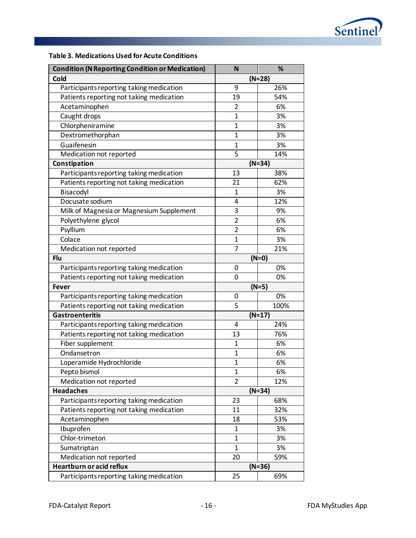

# <span id="page-18-0"></span>**Table 3. Medications Used for Acute Conditions**

| <b>Condition (N Reporting Condition or Medication)</b> | N              | %        |  |  |
|--------------------------------------------------------|----------------|----------|--|--|
| Cold                                                   |                | $(N=28)$ |  |  |
| Participants reporting taking medication               | 9              | 26%      |  |  |
| Patients reporting not taking medication               | 19             | 54%      |  |  |
| Acetaminophen                                          | $\overline{2}$ | 6%       |  |  |
| Caught drops                                           | $\mathbf 1$    | 3%       |  |  |
| Chlorpheniramine                                       | $\mathbf{1}$   | 3%       |  |  |
| Dextromethorphan                                       | $\mathbf{1}$   | 3%       |  |  |
| Guaifenesin                                            | $\mathbf{1}$   | 3%       |  |  |
| Medication not reported                                | $\overline{5}$ | 14%      |  |  |
| Constipation                                           |                | $(N=34)$ |  |  |
| Participants reporting taking medication               | 13             | 38%      |  |  |
| Patients reporting not taking medication               | 21             | 62%      |  |  |
| Bisacodyl                                              | $\mathbf{1}$   | 3%       |  |  |
| Docusate sodium                                        | 4              | 12%      |  |  |
| Milk of Magnesia or Magnesium Supplement               | 3              | 9%       |  |  |
| Polyethylene glycol                                    | $\overline{2}$ | 6%       |  |  |
| Psyllium                                               | $\overline{2}$ | 6%       |  |  |
| Colace                                                 | $\mathbf 1$    | 3%       |  |  |
| Medication not reported                                | $\overline{7}$ | 21%      |  |  |
| Flu                                                    | $(N=0)$        |          |  |  |
| Participants reporting taking medication               | 0              | 0%       |  |  |
| Patients reporting not taking medication               | 0              | 0%       |  |  |
| <b>Fever</b>                                           |                | $(N=5)$  |  |  |
| Participants reporting taking medication               | 0              | 0%       |  |  |
| Patients reporting not taking medication               | 5              | 100%     |  |  |
| <b>Gastroenteritis</b>                                 |                | $(N=17)$ |  |  |
| Participants reporting taking medication               | 4              | 24%      |  |  |
| Patients reporting not taking medication               | 13             | 76%      |  |  |
| Fiber supplement                                       | $\mathbf{1}$   | 6%       |  |  |
| Ondansetron                                            | 1              | 6%       |  |  |
| Loperamide Hydrochloride                               | $\overline{1}$ | 6%       |  |  |
| Pepto bismol                                           | $\mathbf{1}$   | 6%       |  |  |
| Medication not reported                                | 2              | 12%      |  |  |
| <b>Headaches</b>                                       |                | $(N=34)$ |  |  |
| Participants reporting taking medication               | 23             | 68%      |  |  |
| Patients reporting not taking medication               | 11             | 32%      |  |  |
| Acetaminophen                                          | 18             | 53%      |  |  |
| Ibuprofen                                              | $\mathbf{1}$   | 3%       |  |  |
| Chlor-trimeton                                         | $\mathbf{1}$   | 3%       |  |  |
| Sumatriptan                                            | $\mathbf{1}$   | 3%       |  |  |
| Medication not reported                                | 20             | 59%      |  |  |
| <b>Heartburn or acid reflux</b>                        |                | $(N=36)$ |  |  |
| Participants reporting taking medication               | 25             | 69%      |  |  |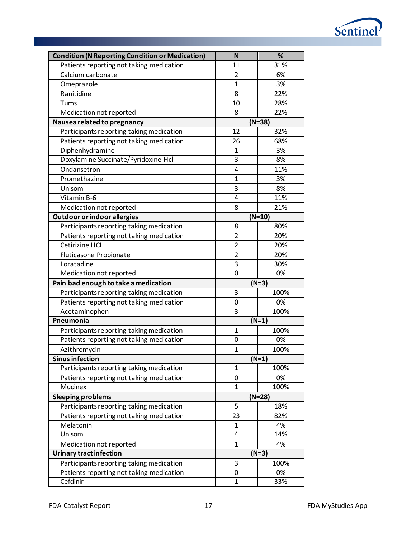

| <b>Condition (N Reporting Condition or Medication)</b> | N              | %        |
|--------------------------------------------------------|----------------|----------|
| Patients reporting not taking medication               | 11             | 31%      |
| Calcium carbonate                                      | $\overline{2}$ | 6%       |
| Omeprazole                                             | $\overline{1}$ | 3%       |
| Ranitidine                                             | 8              | 22%      |
| Tums                                                   | 10             | 28%      |
| Medication not reported                                | 8              | 22%      |
| Nausea related to pregnancy                            |                | $(N=38)$ |
| Participants reporting taking medication               | 12             | 32%      |
| Patients reporting not taking medication               | 26             | 68%      |
| Diphenhydramine                                        | 1              | 3%       |
| Doxylamine Succinate/Pyridoxine Hcl                    | 3              | 8%       |
| Ondansetron                                            | 4              | 11%      |
| Promethazine                                           | $\mathbf{1}$   | 3%       |
| Unisom                                                 | 3              | 8%       |
| Vitamin B-6                                            | $\overline{4}$ | 11%      |
| Medication not reported                                | 8              | 21%      |
| Outdoor or indoor allergies                            |                | $(N=10)$ |
| Participants reporting taking medication               | 8              | 80%      |
| Patients reporting not taking medication               | $\overline{2}$ | 20%      |
| <b>Cetirizine HCL</b>                                  | $\overline{2}$ | 20%      |
| Fluticasone Propionate                                 | $\overline{2}$ | 20%      |
| Loratadine                                             | 3              | 30%      |
| Medication not reported                                | $\overline{0}$ | 0%       |
| Pain bad enough to take a medication                   |                | $(N=3)$  |
| Participants reporting taking medication               | 3              | 100%     |
| Patients reporting not taking medication               | 0              | 0%       |
| Acetaminophen                                          | 3              | 100%     |
| Pneumonia                                              |                | $(N=1)$  |
| Participants reporting taking medication               | $\mathbf{1}$   | 100%     |
| Patients reporting not taking medication               | 0              | 0%       |
| Azithromycin                                           | $\mathbf{1}$   | 100%     |
| <b>Sinus infection</b>                                 |                | $(N=1)$  |
| Participants reporting taking medication               | 1              | 100%     |
| Patients reporting not taking medication               | 0              | 0%       |
| Mucinex                                                | $\mathbf 1$    | 100%     |
| <b>Sleeping problems</b>                               |                | $(N=28)$ |
| Participants reporting taking medication               | 5              | 18%      |
| Patients reporting not taking medication               | 23             | 82%      |
| Melatonin                                              | 1              | 4%       |
| Unisom                                                 | 4              | 14%      |
| Medication not reported                                | $\mathbf 1$    | 4%       |
| <b>Urinary tract infection</b>                         |                | $(N=3)$  |
| Participants reporting taking medication               | 3              | 100%     |
| Patients reporting not taking medication               | 0              | 0%       |
|                                                        |                |          |
| Cefdinir                                               | 1              | 33%      |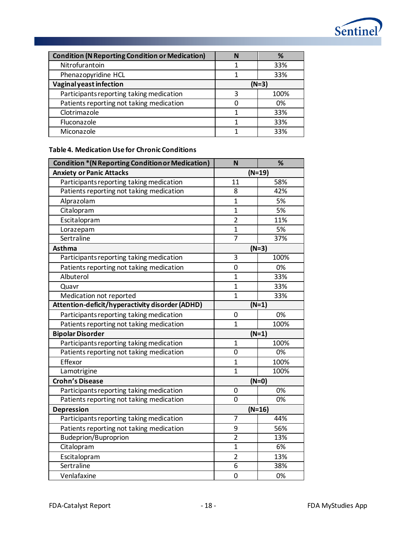

| <b>Condition (N Reporting Condition or Medication)</b> |         | %    |  |
|--------------------------------------------------------|---------|------|--|
| Nitrofurantoin                                         |         | 33%  |  |
| Phenazopyridine HCL                                    |         | 33%  |  |
| Vaginal yeast infection                                | $(N=3)$ |      |  |
| Participants reporting taking medication               | 3       | 100% |  |
| Patients reporting not taking medication               |         | 0%   |  |
| Clotrimazole                                           |         | 33%  |  |
| Fluconazole                                            |         | 33%  |  |
| Miconazole                                             |         | 33%  |  |

## <span id="page-20-0"></span>**Table 4. Medication Use for Chronic Conditions**

| <b>Condition * (N Reporting Condition or Medication)</b> | N              | %        |  |
|----------------------------------------------------------|----------------|----------|--|
| <b>Anxiety or Panic Attacks</b>                          |                | $(N=19)$ |  |
| Participants reporting taking medication                 | 11             | 58%      |  |
| Patients reporting not taking medication                 | 8              | 42%      |  |
| Alprazolam                                               | $\overline{1}$ | 5%       |  |
| Citalopram                                               | $\overline{1}$ | 5%       |  |
| Escitalopram                                             | $\overline{2}$ | 11%      |  |
| Lorazepam                                                | $\overline{1}$ | 5%       |  |
| Sertraline                                               | $\overline{7}$ | 37%      |  |
| Asthma                                                   |                | $(N=3)$  |  |
| Participants reporting taking medication                 | 3              | 100%     |  |
| Patients reporting not taking medication                 | $\overline{0}$ | 0%       |  |
| Albuterol                                                | $\mathbf{1}$   | 33%      |  |
| Quavr                                                    | $\overline{1}$ | 33%      |  |
| Medication not reported                                  | $\overline{1}$ | 33%      |  |
| Attention-deficit/hyperactivity disorder (ADHD)          | $(N=1)$        |          |  |
| Participants reporting taking medication                 | $\mathbf 0$    | 0%       |  |
| Patients reporting not taking medication                 | $\overline{1}$ | 100%     |  |
| <b>Bipolar Disorder</b>                                  | $(N=1)$        |          |  |
| Participants reporting taking medication                 | 1              | 100%     |  |
| Patients reporting not taking medication                 | $\mathbf 0$    | 0%       |  |
| Effexor                                                  | $\overline{1}$ | 100%     |  |
| Lamotrigine                                              | $\overline{1}$ | 100%     |  |
| <b>Crohn's Disease</b>                                   |                | $(N=0)$  |  |
| Participants reporting taking medication                 | $\mathbf 0$    | 0%       |  |
| Patients reporting not taking medication                 | $\overline{0}$ | 0%       |  |
| <b>Depression</b>                                        |                | $(N=16)$ |  |
| Participants reporting taking medication                 | $\overline{7}$ | 44%      |  |
| Patients reporting not taking medication                 | 9              | 56%      |  |
| <b>Budeprion/Buproprion</b>                              | $\overline{2}$ | 13%      |  |
| Citalopram                                               | $\overline{1}$ | 6%       |  |
| Escitalopram                                             | $\overline{2}$ | 13%      |  |
| Sertraline                                               | 6              | 38%      |  |
| Venlafaxine                                              | $\mathbf 0$    | 0%       |  |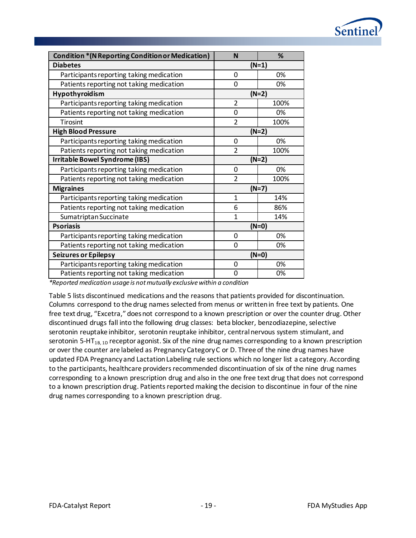

| <b>Condition * (N Reporting Condition or Medication)</b> | N              | %       |  |  |
|----------------------------------------------------------|----------------|---------|--|--|
| <b>Diabetes</b>                                          | $(N=1)$        |         |  |  |
| Participants reporting taking medication                 | $\mathbf{0}$   | 0%      |  |  |
| Patients reporting not taking medication                 | $\mathbf{0}$   | 0%      |  |  |
| Hypothyroidism                                           |                | $(N=2)$ |  |  |
| Participants reporting taking medication                 | $\overline{2}$ | 100%    |  |  |
| Patients reporting not taking medication                 | $\mathbf 0$    | 0%      |  |  |
| Tirosint                                                 | $\overline{2}$ | 100%    |  |  |
| <b>High Blood Pressure</b>                               |                | $(N=2)$ |  |  |
| Participants reporting taking medication                 | 0              | 0%      |  |  |
| Patients reporting not taking medication                 | $\overline{2}$ | 100%    |  |  |
| Irritable Bowel Syndrome (IBS)                           | $(N=2)$        |         |  |  |
| Participants reporting taking medication                 | $\overline{0}$ | 0%      |  |  |
| Patients reporting not taking medication                 | $\overline{2}$ | 100%    |  |  |
| <b>Migraines</b>                                         | $(N=7)$        |         |  |  |
| Participants reporting taking medication                 | 1              | 14%     |  |  |
| Patients reporting not taking medication                 | 6              | 86%     |  |  |
| Sumatriptan Succinate                                    | 1              | 14%     |  |  |
| <b>Psoriasis</b>                                         |                | $(N=0)$ |  |  |
| Participants reporting taking medication                 | $\mathbf{0}$   | 0%      |  |  |
| Patients reporting not taking medication                 | $\Omega$       | 0%      |  |  |
| <b>Seizures or Epilepsy</b>                              |                | $(N=0)$ |  |  |
| Participants reporting taking medication                 | 0              | 0%      |  |  |
| Patients reporting not taking medication                 | 0              | 0%      |  |  |

*\*Reported medication usage is not mutually exclusive within a condition*

[Table 5](#page-22-0) lists discontinued medications and the reasons that patients provided for discontinuation. Columns correspond to the drug names selected from menus or written in free text by patients. One free text drug, "Excetra," does not correspond to a known prescription or over the counter drug. Other discontinued drugs fall into the following drug classes: beta blocker, benzodiazepine, selective serotonin reuptake inhibitor, serotonin reuptake inhibitor, central nervous system stimulant, and serotonin 5-HT<sub>1B, 1D</sub> receptor agonist. Six of the nine drug names corresponding to a known prescription or over the counter are labeled as Pregnancy Category C or D. Three of the nine drug names have updated FDA Pregnancy and Lactation Labeling rule sections which no longer list a category. According to the participants, healthcare providers recommended discontinuation of six of the nine drug names corresponding to a known prescription drug and also in the one free text drug that does not correspond to a known prescription drug. Patients reported making the decision to discontinue in four of the nine drug names corresponding to a known prescription drug.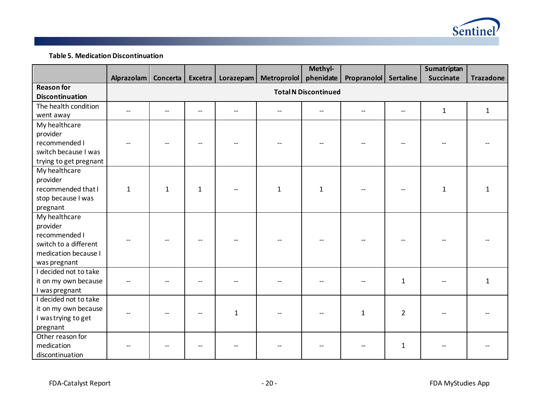

**Table 5. Medication Discontinuation**

<span id="page-22-0"></span>

|                        |              |              |              |  |                                              | Methyl-                     |                       |              | Sumatriptan      |                  |
|------------------------|--------------|--------------|--------------|--|----------------------------------------------|-----------------------------|-----------------------|--------------|------------------|------------------|
|                        | Alprazolam   |              |              |  | Concerta   Excetra   Lorazepam   Metroprolol | phenidate                   | Propranolol Sertaline |              | <b>Succinate</b> | <b>Trazadone</b> |
| <b>Reason for</b>      |              |              |              |  |                                              | <b>Total N Discontinued</b> |                       |              |                  |                  |
| <b>Discontinuation</b> |              |              |              |  |                                              |                             |                       |              |                  |                  |
| The health condition   |              |              |              |  |                                              |                             |                       |              | $\mathbf{1}$     | $\mathbf{1}$     |
| went away              |              |              |              |  |                                              |                             |                       |              |                  |                  |
| My healthcare          |              |              |              |  |                                              |                             |                       |              |                  |                  |
| provider               |              |              |              |  |                                              |                             |                       |              |                  |                  |
| recommended I          |              |              |              |  |                                              |                             |                       |              |                  |                  |
| switch because I was   |              |              |              |  |                                              |                             |                       |              |                  |                  |
| trying to get pregnant |              |              |              |  |                                              |                             |                       |              |                  |                  |
| My healthcare          |              |              |              |  |                                              |                             |                       |              |                  |                  |
| provider               |              |              |              |  |                                              |                             |                       |              |                  |                  |
| recommended that I     | $\mathbf{1}$ | $\mathbf{1}$ | $\mathbf{1}$ |  | $\mathbf{1}$                                 | $\mathbf{1}$                |                       |              | $\mathbf{1}$     | $\mathbf{1}$     |
| stop because I was     |              |              |              |  |                                              |                             |                       |              |                  |                  |
| pregnant               |              |              |              |  |                                              |                             |                       |              |                  |                  |
| My healthcare          |              |              |              |  |                                              |                             |                       |              |                  |                  |
| provider               |              |              |              |  |                                              |                             |                       |              |                  |                  |
| recommended I          |              |              |              |  |                                              |                             |                       |              |                  |                  |
| switch to a different  |              |              |              |  |                                              |                             |                       |              |                  |                  |
| medication because I   |              |              |              |  |                                              |                             |                       |              |                  |                  |
| was pregnant           |              |              |              |  |                                              |                             |                       |              |                  |                  |
| I decided not to take  |              |              |              |  |                                              |                             |                       |              |                  |                  |
| it on my own because   |              |              |              |  |                                              |                             |                       | $\mathbf{1}$ |                  | $\mathbf{1}$     |
| I was pregnant         |              |              |              |  |                                              |                             |                       |              |                  |                  |
| I decided not to take  |              |              |              |  |                                              |                             |                       |              |                  |                  |
| it on my own because   |              |              | 1            |  |                                              | $\mathbf{1}$                | $\overline{2}$        |              |                  |                  |
| I was trying to get    |              |              |              |  |                                              |                             |                       |              |                  |                  |
| pregnant               |              |              |              |  |                                              |                             |                       |              |                  |                  |
| Other reason for       |              |              |              |  |                                              |                             |                       |              |                  |                  |
| medication             |              |              |              |  |                                              |                             |                       | 1            |                  |                  |
| discontinuation        |              |              |              |  |                                              |                             |                       |              |                  |                  |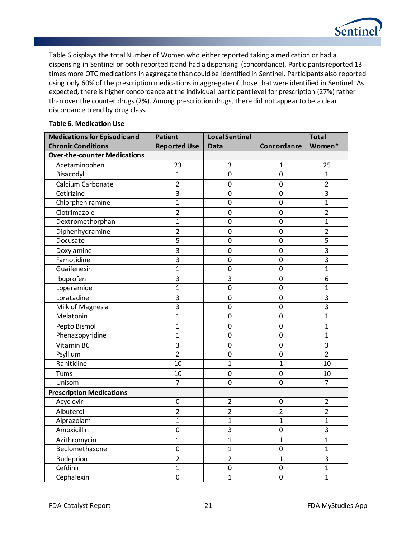

[Table 6](#page-23-0) displays the total Number of Women who either reported taking a medication or had a dispensing in Sentinel or both reported it and had a dispensing (concordance). Participants reported 13 times more OTC medications in aggregate than could be identified in Sentinel. Participants also reported using only 60% of the prescription medications in aggregate of those that were identified in Sentinel. As expected, there is higher concordance at the individual participant level for prescription (27%) rather than over the counter drugs (2%). Among prescription drugs, there did not appear to be a clear discordance trend by drug class.

#### **Medications for Episodic and Chronic Conditions Patient Reported Use Local Sentinel Data Concordance Total Women\* Over-the-counter Medications** Acetaminophen 1 23 3 1 1 25 Bisacodyl | 1 0 | 0 1 Calcium Carbonate  $\begin{array}{|c|c|c|c|c|c|c|c|c|} \hline \end{array}$  2 0 0 2 Cetirizine 3 0 0 3 Chlorpheniramine | 1 | 0 | 0 | 1 Clotrimazole (a) 2 0 0 2 Dextromethorphan 1 1 0 0 1 Diphenhydramine | 2 | 0 | 0 | 2 Docusate 5 0 0 5 Doxylamine 1 3 0 0 3 Famotidine 3 0 0 3 Guaifenesin 1 0 0 1 Ibuprofen 3 3 0 6 Loperamide 1 1 0 0 1 Loratadine | 3 | 0 | 0 | 3 Milk of Magnesia (a) 3 die 1 0 die 1 0 milk of Magnesia Melatonin 1 1 0 0 1 1 Pepto Bismol (and a new part of the set of the set of the set of the set of the set of the set of the set of t Phenazopyridine | 1 | 0 | 0 | 1 Vitamin B6 | 3 | 0 | 3 Psyllium | 2 | 0 | 0 | 2 Ranitidine 10 1 1 10 Tums 10 0 0 10 Unisom | 7 | 0 | 0 7 **Prescription Medications** Acyclovir | 0 | 2 0 | 2 Albuterol | 2 | 2 | 2 | 2 Alprazolam | 1 | 1 | 1 | 1 Amoxicillin 1 0 3 0 3 Azithromycin | 1 | 1 | 1 | 1 Beclomethasone 1 0 1 1 0 1 Budeprion 2 2 1 3 Cefdinir 1 1 0 0 1 Cephalexin 0 1 0 1

#### <span id="page-23-0"></span>**Table 6. Medication Use**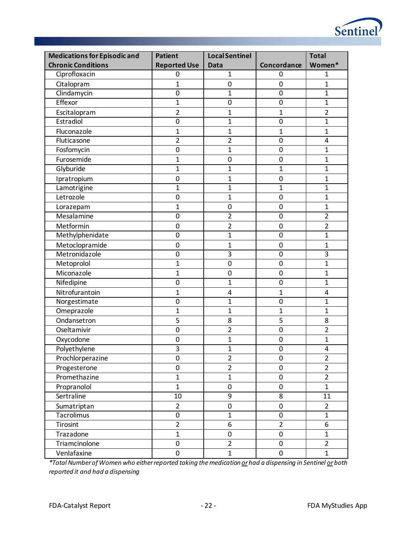| <b>Medications for Episodic and</b> | <b>Patient</b>      | <b>Local Sentinel</b> |                  | <b>Total</b>            |
|-------------------------------------|---------------------|-----------------------|------------------|-------------------------|
| <b>Chronic Conditions</b>           | <b>Reported Use</b> | Data                  | Concordance      | Women*                  |
| Ciprofloxacin                       | $\mathbf 0$         | $\mathbf{1}$          | 0                | 1                       |
| Citalopram                          | $\mathbf{1}$        | $\mathbf 0$           | $\mathbf 0$      | $\mathbf{1}$            |
| Clindamycin                         | $\mathbf 0$         | $\mathbf{1}$          | $\mathbf 0$      | $\mathbf{1}$            |
| Effexor                             | $\mathbf{1}$        | $\mathbf 0$           | $\mathbf 0$      | $\mathbf{1}$            |
| Escitalopram                        | $\overline{2}$      | $\mathbf{1}$          | 1                | $\overline{2}$          |
| Estradiol                           | $\overline{0}$      | $\mathbf{1}$          | $\mathbf 0$      | $\mathbf{1}$            |
| Fluconazole                         | $\mathbf 1$         | $\mathbf{1}$          | $\mathbf 1$      | $\mathbf{1}$            |
| Fluticasone                         | $\overline{2}$      | $\overline{2}$        | $\mathbf 0$      | 4                       |
| Fosfomycin                          | $\mathbf 0$         | $\overline{1}$        | $\mathbf 0$      | $\overline{1}$          |
| Furosemide                          | $\mathbf{1}$        | $\pmb{0}$             | $\mathbf 0$      | $\mathbf{1}$            |
| Glyburide                           | $\mathbf{1}$        | $\mathbf{1}$          | 1                | $\mathbf{1}$            |
| Ipratropium                         | $\mathbf 0$         | $\mathbf{1}$          | $\mathbf 0$      | $\mathbf{1}$            |
| Lamotrigine                         | $\mathbf{1}$        | $\overline{1}$        | 1                | $\mathbf{1}$            |
| Letrozole                           | $\mathbf 0$         | $\overline{1}$        | $\mathbf 0$      | $\mathbf{1}$            |
| Lorazepam                           | $\mathbf{1}$        | 0                     | $\mathbf 0$      | $\mathbf{1}$            |
| Mesalamine                          | $\mathbf 0$         | $\overline{2}$        | $\mathbf 0$      | $\overline{2}$          |
| Metformin                           | $\mathbf 0$         | $\overline{2}$        | $\mathbf 0$      | $\overline{2}$          |
| Methylphenidate                     | $\mathbf 0$         | $\mathbf{1}$          | $\pmb{0}$        | $\mathbf{1}$            |
| Metoclopramide                      | $\mathbf 0$         | $\mathbf{1}$          | $\mathbf 0$      | $\mathbf{1}$            |
| Metronidazole                       | $\mathbf 0$         | 3                     | $\mathbf 0$      | $\overline{3}$          |
| Metoprolol                          | $\mathbf{1}$        | $\mathbf 0$           | $\mathbf 0$      | $\mathbf{1}$            |
| Miconazole                          | $\mathbf{1}$        | 0                     | $\mathbf 0$      | $\mathbf{1}$            |
| Nifedipine                          | $\mathbf 0$         | $\overline{1}$        | $\mathbf 0$      | $\mathbf{1}$            |
| Nitrofurantoin                      | $\mathbf{1}$        | 4                     | $\mathbf 1$      | 4                       |
| Norgestimate                        | $\mathbf 0$         | $\mathbf{1}$          | $\mathbf 0$      | $\mathbf{1}$            |
| Omeprazole                          | $\mathbf{1}$        | $\overline{1}$        | $\mathbf{1}$     | $\mathbf{1}$            |
| Ondansetron                         | 5                   | 8                     | 5                | 8                       |
| Oseltamivir                         | $\mathbf 0$         | $\overline{2}$        | $\mathbf 0$      | $\overline{2}$          |
| Oxycodone                           | $\mathbf 0$         | 1                     | $\pmb{0}$        | $\mathbf{1}$            |
| Polyethylene                        | 3                   | $\overline{1}$        | $\mathbf 0$      | 4                       |
| Prochlorperazine                    | $\mathbf 0$         | $\overline{2}$        | $\boldsymbol{0}$ | $\overline{\mathbf{c}}$ |
| Progesterone                        | $\mathbf 0$         | $\overline{2}$        | $\pmb{0}$        | $\overline{2}$          |
| Promethazine                        | $\mathbf{1}$        | $\mathbf{1}$          | $\boldsymbol{0}$ | $\overline{2}$          |
| Propranolol                         | $\mathbf{1}$        | 0                     | $\pmb{0}$        | $\mathbf{1}$            |
| Sertraline                          | 10                  | 9                     | 8                | 11                      |
| Sumatriptan                         | $\overline{2}$      | $\pmb{0}$             | $\boldsymbol{0}$ | $\overline{2}$          |
| Tacrolimus                          | $\boldsymbol{0}$    | $\mathbf{1}$          | $\pmb{0}$        | $\mathbf{1}$            |
| Tirosint                            | $\overline{2}$      | 6                     | $\overline{2}$   | $\overline{6}$          |
| Trazadone                           | $\mathbf{1}$        | 0                     | $\pmb{0}$        | $\mathbf{1}$            |
| Triamcinolone                       | $\boldsymbol{0}$    | $\overline{2}$        | $\pmb{0}$        | $\overline{2}$          |
| Venlafaxine                         | $\pmb{0}$           | $\mathbf{1}$          | $\pmb{0}$        | $\mathbf{1}$            |

*\*Total Number of Women who either reported taking the medication orhad a dispensing in Sentinel orboth reported it and had a dispensing*

Sentinel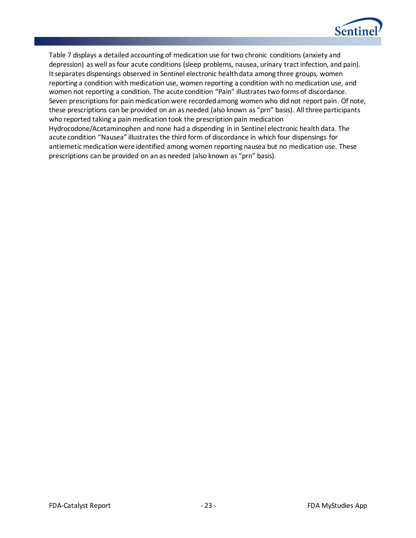

[Table 7](#page-26-0) displays a detailed accounting of medication use for two chronic conditions (anxiety and depression) as well as four acute conditions (sleep problems, nausea, urinary tract infection, and pain). It separates dispensings observed in Sentinel electronic health data among three groups, women reporting a condition with medication use, women reporting a condition with no medication use, and women not reporting a condition. The acute condition "Pain" illustrates two forms of discordance. Seven prescriptions for pain medication were recorded among women who did not report pain. Of note, these prescriptions can be provided on an as needed (also known as "prn" basis). All three participants who reported taking a pain medication took the prescription pain medication Hydrocodone/Acetaminophen and none had a dispending in in Sentinel electronic health data. The acute condition "Nausea" illustrates the third form of discordance in which four dispensings for antiemetic medication were identified among women reporting nausea but no medication use. These prescriptions can be provided on an as needed (also known as "prn" basis).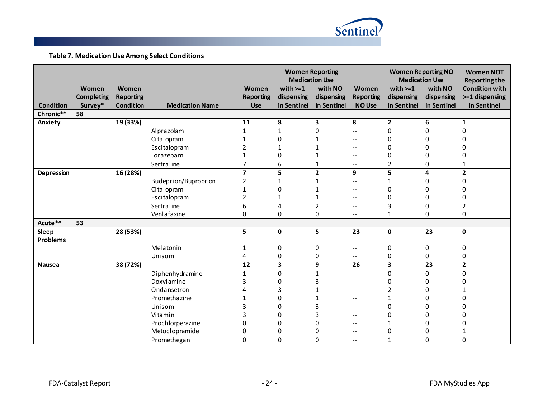

**Table 7. Medication Use Among Select Conditions**

<span id="page-26-0"></span>

|                  |                   |                  |                        |                  | <b>Medication Use</b> | <b>Women Reporting</b> |                          | <b>Women Reporting NO</b><br><b>Medication Use</b> |                  | <b>Women NOT</b><br><b>Reporting the</b> |
|------------------|-------------------|------------------|------------------------|------------------|-----------------------|------------------------|--------------------------|----------------------------------------------------|------------------|------------------------------------------|
|                  | Women             | Women            |                        | Women            | with $>=1$            | with NO                | Women                    | with $>=1$                                         | with NO          | <b>Condition with</b>                    |
|                  | <b>Completing</b> | <b>Reporting</b> |                        | <b>Reporting</b> | dispensing            | dispensing             | <b>Reporting</b>         | dispensing                                         | dispensing       | >=1 dispensing                           |
| <b>Condition</b> | Survey*           | Condition        | <b>Medication Name</b> | <b>Use</b>       | in Sentinel           | in Sentinel            | <b>NO Use</b>            | in Sentinel                                        | in Sentinel      | in Sentinel                              |
| Chronic**        | 58                |                  |                        |                  |                       |                        |                          |                                                    |                  |                                          |
| Anxiety          |                   | 19 (33%)         |                        | 11               | 8                     | 3                      | 8                        | $\overline{2}$                                     | 6                | 1                                        |
|                  |                   |                  | Alprazolam             |                  | 1                     | 0                      |                          | $\mathbf 0$                                        | 0                | 0                                        |
|                  |                   |                  | Citalopram             |                  | 0                     |                        |                          | 0                                                  | 0                | U                                        |
|                  |                   |                  | Escitalopram           | 2                | 1                     | 1                      |                          | 0                                                  | 0                | U                                        |
|                  |                   |                  | Lorazepam              |                  | 0                     | 1                      | $-$                      | 0                                                  | 0                | 0                                        |
|                  |                   |                  | Sertraline             | 7                | 6                     | 1                      | $\overline{\phantom{m}}$ | $\overline{2}$                                     | 0                |                                          |
| Depression       |                   | 16 (28%)         |                        | $\overline{7}$   | 5                     | $\overline{2}$         | 9                        | 5                                                  | 4                | $\mathbf{2}$                             |
|                  |                   |                  | Budeprion/Buproprion   | 2                |                       | 1                      | $-$                      |                                                    | 0                | 0                                        |
|                  |                   |                  | Citalopram             |                  | 0                     | 1                      |                          | 0                                                  | 0                | 0                                        |
|                  |                   |                  | Escitalopram           | 2                |                       | 1                      | --                       | 0                                                  | 0                | 0                                        |
|                  |                   |                  | Sertraline             | 6                | 4                     | 2                      | --                       | 3                                                  | 0                | 2                                        |
|                  |                   |                  | Venlafaxine            | 0                | 0                     | 0                      | $-$                      | 1                                                  | 0                | 0                                        |
| Acute*^          | 53                |                  |                        |                  |                       |                        |                          |                                                    |                  |                                          |
| Sleep            |                   | 28 (53%)         |                        | 5                | $\mathbf 0$           | 5                      | 23                       | $\mathbf 0$                                        | 23               | 0                                        |
| <b>Problems</b>  |                   |                  |                        |                  |                       |                        |                          |                                                    |                  |                                          |
|                  |                   |                  | Melatonin              | 1                | 0                     | 0                      |                          | $\boldsymbol{0}$                                   | $\boldsymbol{0}$ | 0                                        |
|                  |                   |                  | Unisom                 | 4                | 0                     | 0                      | $\overline{\phantom{m}}$ | 0                                                  | 0                | 0                                        |
| <b>Nausea</b>    |                   | 38 (72%)         |                        | $\overline{12}$  | 3                     | 9                      | 26                       | 3                                                  | $\overline{23}$  | $\overline{2}$                           |
|                  |                   |                  | Diphenhydramine        | 1                | 0                     | 1                      |                          | $\mathbf 0$                                        | 0                | 0                                        |
|                  |                   |                  | Doxylamine             | 3                | 0                     | 3                      |                          | 0                                                  | 0                |                                          |
|                  |                   |                  | Ondansetron            | Δ                | 3                     |                        | --                       | 2                                                  | 0                |                                          |
|                  |                   |                  | Promethazine           |                  | 0                     |                        |                          | $\mathbf{1}$                                       | 0                | O                                        |
|                  |                   |                  | Unisom                 | 3                | 0                     |                        |                          | 0                                                  | 0                | U                                        |
|                  |                   |                  | Vitamin                | 3                | 0                     |                        |                          | 0                                                  | 0                | U                                        |
|                  |                   |                  | Prochlorperazine       | 0                | 0                     |                        |                          |                                                    | ი                |                                          |
|                  |                   |                  | Metoclopramide         | 0                | 0                     | 0                      |                          | 0                                                  | 0                |                                          |
|                  |                   |                  | Promethegan            | 0                | 0                     | 0                      |                          |                                                    | 0                | 0                                        |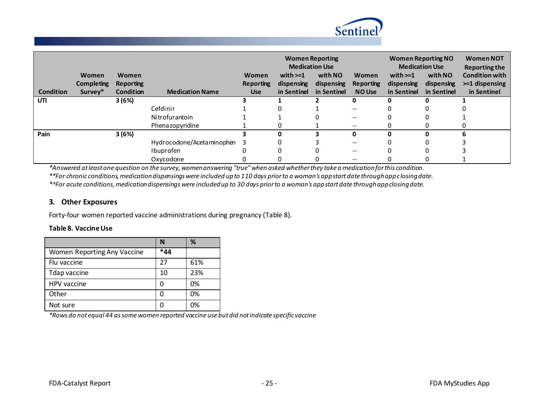

|                  |            |           |                           | <b>Women Reporting</b><br><b>Medication Use</b> |             |             | <b>Women Reporting NO</b><br><b>Medication Use</b> |             | <b>Women NOT</b><br><b>Reporting the</b> |                       |
|------------------|------------|-----------|---------------------------|-------------------------------------------------|-------------|-------------|----------------------------------------------------|-------------|------------------------------------------|-----------------------|
|                  | Women      | Women     |                           | Women                                           | with $>=1$  | with NO     | <b>Women</b>                                       | with $>=1$  | with NO                                  | <b>Condition with</b> |
|                  | Completing | Reporting |                           | <b>Reporting</b>                                | dispensing  | dispensing  | Reporting                                          | dispensing  | dispensing                               | $>=1$ dispensing      |
| <b>Condition</b> | Survey*    | Condition | <b>Medication Name</b>    | <b>Use</b>                                      | in Sentinel | in Sentinel | <b>NO Use</b>                                      | in Sentinel | in Sentinel                              | in Sentinel           |
| UTI              |            | 3(6%)     |                           |                                                 |             |             | 0                                                  | Ω           | 0                                        |                       |
|                  |            |           | Cefdinir                  |                                                 |             |             | $- -$                                              | $\Box$      | 0                                        |                       |
|                  |            |           | Nitrofurantoin            |                                                 |             | 0           | --                                                 |             |                                          |                       |
|                  |            |           | Phenazopyridine           |                                                 |             |             | $\hspace{0.05cm}$                                  |             |                                          |                       |
| Pain             |            | 3(6%)     |                           |                                                 | 0           |             | 0                                                  | ŋ           | U                                        |                       |
|                  |            |           | Hydrocodone/Acetaminophen | 3                                               |             |             | --                                                 |             |                                          |                       |
|                  |            |           | Ibuprofen                 |                                                 |             |             | --                                                 |             |                                          |                       |
|                  |            |           | Oxycodone                 |                                                 |             | 0           | --                                                 |             |                                          |                       |

*\*Answered at least one question on the survey, women answering "true" when asked whether they take a medication for this condition.*

*\*\*For chronic conditions, medication dispensings were included up to 110 days prior to a woman's app start date through app closing date.*

*\*^For acute conditions, medication dispensings were included up to 30 days prior to a woman's app start date through app closing date.*

#### **3. Other Exposures**

Forty-four women reported vaccine administrations during pregnancy [\(Table 8\)](#page-27-0).

#### <span id="page-27-0"></span>**Table 8. Vaccine Use**

|                             |     | %   |
|-----------------------------|-----|-----|
| Women Reporting Any Vaccine | *44 |     |
| Flu vaccine                 | 27  | 61% |
| Tdap vaccine                | 10  | 23% |
| HPV vaccine                 |     | 0%  |
| Other                       |     | 0%  |
| Not sure                    |     | በ%  |

*\*Rows do not equal 44 as some women reported vaccine use but did not indicate specific vaccine*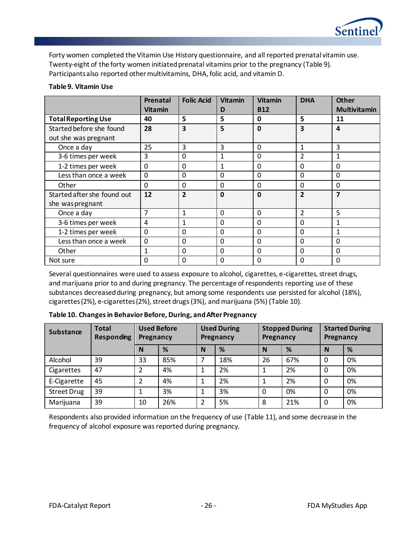

Forty women completed the Vitamin Use History questionnaire, and all reported prenatal vitamin use. Twenty-eight of the forty women initiated prenatal vitamins prior to the pregnancy [\(Table 9\)](#page-28-0). Participants also reported other multivitamins, DHA, folic acid, and vitamin D.

#### <span id="page-28-0"></span>**Table 9. Vitamin Use**

|                                                  | Prenatal<br><b>Vitamin</b> | <b>Folic Acid</b> | <b>Vitamin</b><br>D | <b>Vitamin</b><br><b>B12</b> | <b>DHA</b>     | <b>Other</b><br><b>Multivitamin</b> |
|--------------------------------------------------|----------------------------|-------------------|---------------------|------------------------------|----------------|-------------------------------------|
| <b>Total Reporting Use</b>                       | 40                         | 5                 | 5                   | 0                            | 5              | 11                                  |
| Started before she found<br>out she was pregnant | 28                         | 3                 | 5                   | $\mathbf{0}$                 | 3              | 4                                   |
| Once a day                                       | 25                         | 3                 | 3                   | $\Omega$                     | 1              | 3                                   |
| 3-6 times per week                               | 3                          | $\Omega$          | 1                   | $\Omega$                     | 2              | 1                                   |
| 1-2 times per week                               | $\Omega$                   | $\Omega$          | 1                   | $\Omega$                     | $\Omega$       | $\Omega$                            |
| Less than once a week                            | $\mathbf 0$                | $\Omega$          | $\Omega$            | $\Omega$                     | $\Omega$       | $\Omega$                            |
| Other                                            | $\Omega$                   | $\Omega$          | $\Omega$            | $\Omega$                     | $\Omega$       | $\Omega$                            |
| Started after she found out<br>she was pregnant  | 12                         | $\overline{2}$    | $\mathbf 0$         | $\mathbf{0}$                 | $\overline{2}$ | 7                                   |
| Once a day                                       | $\overline{7}$             | 1                 | $\Omega$            | $\Omega$                     | 2              | 5                                   |
| 3-6 times per week                               | 4                          | $\mathbf{1}$      | $\Omega$            | $\Omega$                     | $\Omega$       | 1                                   |
| 1-2 times per week                               | $\mathbf{0}$               | $\Omega$          | $\Omega$            | $\Omega$                     | $\Omega$       | 1                                   |
| Less than once a week                            | $\mathbf 0$                | $\Omega$          | $\mathbf 0$         | $\Omega$                     | $\Omega$       | $\Omega$                            |
| Other                                            | $\mathbf{1}$               | $\Omega$          | $\Omega$            | $\Omega$                     | $\mathbf{0}$   | $\Omega$                            |
| Not sure                                         | $\Omega$                   | 0                 | $\Omega$            | $\Omega$                     | $\mathbf{0}$   | $\Omega$                            |

Several questionnaires were used to assess exposure to alcohol, cigarettes, e-cigarettes, street drugs, and marijuana prior to and during pregnancy. The percentage of respondents reporting use of these substances decreased during pregnancy, but among some respondents use persisted for alcohol (18%), cigarettes (2%), e-cigarettes (2%), street drugs (3%), and marijuana (5%) [\(Table 10\)](#page-28-1).

<span id="page-28-1"></span>**Table 10. Changes in Behavior Before, During, and After Pregnancy**

| <b>Substance</b>   | <b>Total</b><br><b>Responding</b> | <b>Used Before</b><br>Pregnancy |     | <b>Used During</b><br>Pregnancy |     | <b>Stopped During</b><br>Pregnancy |     | <b>Started During</b><br>Pregnancy |    |
|--------------------|-----------------------------------|---------------------------------|-----|---------------------------------|-----|------------------------------------|-----|------------------------------------|----|
|                    |                                   | N                               | %   | N                               | %   | N                                  | %   | N                                  | %  |
| Alcohol            | 39                                | 33                              | 85% |                                 | 18% | 26                                 | 67% | $\mathbf 0$                        | 0% |
| Cigarettes         | 47                                |                                 | 4%  |                                 | 2%  |                                    | 2%  | $\Omega$                           | 0% |
| E-Cigarette        | 45                                | າ                               | 4%  |                                 | 2%  | 1                                  | 2%  | $\Omega$                           | 0% |
| <b>Street Drug</b> | 39                                |                                 | 3%  |                                 | 3%  | $\Omega$                           | 0%  | $\Omega$                           | 0% |
| Marijuana          | 39                                | 10                              | 26% |                                 | 5%  | 8                                  | 21% | 0                                  | 0% |

Respondents also provided information on the frequency of use [\(Table 11\)](#page-29-0), and some decrease in the frequency of alcohol exposure was reported during pregnancy.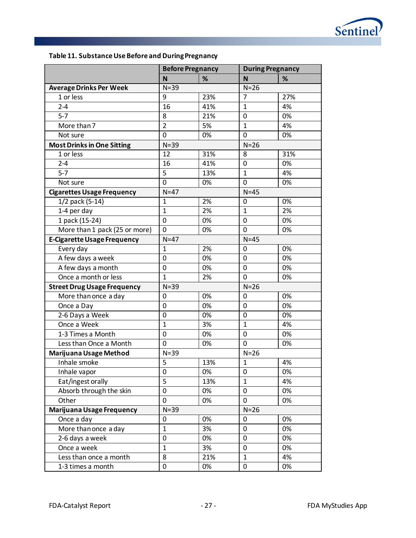

<span id="page-29-0"></span>

|  |  |  | Table 11. Substance Use Before and During Pregnancy |
|--|--|--|-----------------------------------------------------|
|--|--|--|-----------------------------------------------------|

|                                    | <b>Before Pregnancy</b> |     | <b>During Pregnancy</b> |     |
|------------------------------------|-------------------------|-----|-------------------------|-----|
|                                    | $\mathbf N$             | %   | N                       | %   |
| <b>Average Drinks Per Week</b>     | $N = 39$                |     | $N=26$                  |     |
| $\overline{1}$ or less             | 9                       | 23% | 7                       | 27% |
| $2 - 4$                            | 16                      | 41% | $\mathbf{1}$            | 4%  |
| $5 - 7$                            | 8                       | 21% | 0                       | 0%  |
| More than 7                        | $\overline{2}$          | 5%  | $\mathbf{1}$            | 4%  |
| Not sure                           | $\overline{0}$          | 0%  | 0                       | 0%  |
| <b>Most Drinks in One Sitting</b>  | $N=39$                  |     | $N=26$                  |     |
| 1 or less                          | 12                      | 31% | 8                       | 31% |
| $2 - 4$                            | 16                      | 41% | $\mathbf 0$             | 0%  |
| $5 - 7$                            | 5                       | 13% | $\mathbf{1}$            | 4%  |
| Not sure                           | $\mathbf 0$             | 0%  | 0                       | 0%  |
| <b>Cigarettes Usage Frequency</b>  | $N=47$                  |     | $N=45$                  |     |
| 1/2 pack (5-14)                    | $\mathbf{1}$            | 2%  | 0                       | 0%  |
| 1-4 per day                        | $\mathbf{1}$            | 2%  | $\mathbf{1}$            | 2%  |
| 1 pack (15-24)                     | $\mathbf 0$             | 0%  | 0                       | 0%  |
| More than 1 pack (25 or more)      | 0                       | 0%  | $\Omega$                | 0%  |
| <b>E-Cigarette Usage Frequency</b> | $N=47$                  |     | $N=45$                  |     |
| Every day                          | $\mathbf{1}$            | 2%  | 0                       | 0%  |
| A few days a week                  | $\mathbf 0$             | 0%  | 0                       | 0%  |
| A few days a month                 | $\mathbf 0$             | 0%  | 0                       | 0%  |
| Once a month or less               | $\mathbf{1}$            | 2%  | $\overline{0}$          | 0%  |
| <b>Street Drug Usage Frequency</b> | $N=39$                  |     | $N=26$                  |     |
| More than once a day               | 0                       | 0%  | 0                       | 0%  |
| Once a Day                         | $\mathbf 0$             | 0%  | 0                       | 0%  |
| 2-6 Days a Week                    | $\mathbf 0$             | 0%  | 0                       | 0%  |
| Once a Week                        | $\mathbf{1}$            | 3%  | $\mathbf{1}$            | 4%  |
| 1-3 Times a Month                  | $\mathbf 0$             | 0%  | 0                       | 0%  |
| Less than Once a Month             | $\mathbf 0$             | 0%  | $\mathbf 0$             | 0%  |
| Marijuana Usage Method             | $N=39$                  |     | $N=26$                  |     |
| Inhale smoke                       | $\overline{5}$          | 13% | $\mathbf{1}$            | 4%  |
| Inhale vapor                       | $\mathbf 0$             | 0%  | 0                       | 0%  |
| Eat/ingest orally                  | 5                       | 13% | $\mathbf{1}$            | 4%  |
| Absorb through the skin            | $\mathbf 0$             | 0%  | $\mathbf 0$             | 0%  |
| Other                              | $\mathbf 0$             | 0%  | $\mathbf 0$             | 0%  |
| Marijuana Usage Frequency          | $N=39$                  |     | $N=26$                  |     |
| Once a day                         | $\mathbf 0$             | 0%  | 0                       | 0%  |
| More than once a day               | $\mathbf{1}$            | 3%  | $\mathbf 0$             | 0%  |
| 2-6 days a week                    | $\mathbf 0$             | 0%  | 0                       | 0%  |
| Once a week                        | $\mathbf{1}$            | 3%  | 0                       | 0%  |
| Less than once a month             | 8                       | 21% | $\mathbf{1}$            | 4%  |
| 1-3 times a month                  | $\boldsymbol{0}$        | 0%  | 0                       | 0%  |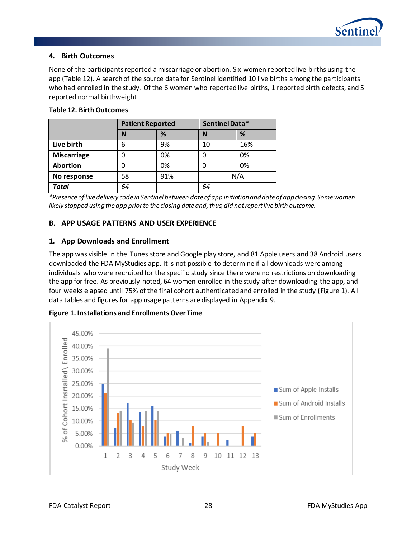

#### **4. Birth Outcomes**

None of the participants reported a miscarriage or abortion. Six women reported live births using the app [\(Table 12\)](#page-30-0). A search of the source data for Sentinel identified 10 live births among the participants who had enrolled in the study. Of the 6 women who reported live births, 1 reported birth defects, and 5 reported normal birthweight.

|                    | <b>Patient Reported</b> |     | Sentinel Data* |     |
|--------------------|-------------------------|-----|----------------|-----|
|                    | N                       | %   | N              | %   |
| Live birth         | 6                       | 9%  | 10             | 16% |
| <b>Miscarriage</b> | 0                       | 0%  | O              | 0%  |
| Abortion           | 0                       | 0%  | O              | 0%  |
| No response        | 58                      | 91% | N/A            |     |
| Total              | 64                      |     | 64             |     |

#### <span id="page-30-0"></span>**Table 12. Birth Outcomes**

*\*Presence of live delivery code in Sentinel between date of app initiation and date of app closing. Some women likely stopped using the app prior to the closing date and, thus, did not report live birth outcome.*

#### **B. APP USAGE PATTERNS AND USER EXPERIENCE**

#### **1. App Downloads and Enrollment**

The app was visible in the iTunes store and Google play store, and 81 Apple users and 38 Android users downloaded the FDA MyStudies app. It is not possible to determine if all downloads were among individuals who were recruited for the specific study since there were no restrictions on downloading the app for free. As previously noted, 64 women enrolled in the study after downloading the app, and four weeks elapsed until 75% of the final cohort authenticated and enrolled in the study [\(Figure 1\)](#page-30-1). All data tables and figures for app usage patterns are displayed in Appendix 9.



<span id="page-30-1"></span>**Figure 1. Installations and Enrollments Over Time**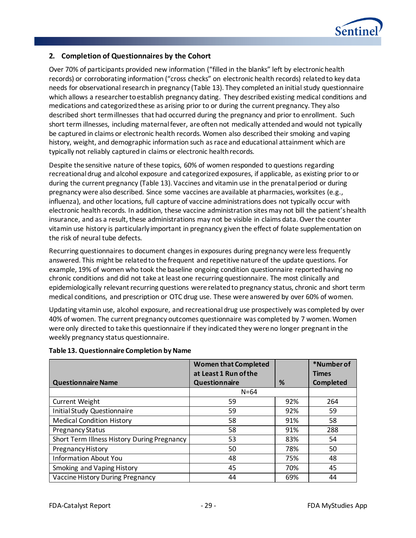

## **2. Completion of Questionnaires by the Cohort**

Over 70% of participants provided new information ("filled in the blanks" left by electronic health records) or corroborating information ("cross checks" on electronic health records) related to key data needs for observational research in pregnancy [\(Table 13\)](#page-31-0). They completed an initial study questionnaire which allows a researcher to establish pregnancy dating. They described existing medical conditions and medications and categorized these as arising prior to or during the current pregnancy. They also described short term illnesses that had occurred during the pregnancy and prior to enrollment. Such short term illnesses, including maternal fever, are often not medically attended and would not typically be captured in claims or electronic health records. Women also described their smoking and vaping history, weight, and demographic information such as race and educational attainment which are typically not reliably captured in claims or electronic health records.

Despite the sensitive nature of these topics, 60% of women responded to questions regarding recreational drug and alcohol exposure and categorized exposures, if applicable, as existing prior to or during the current pregnancy [\(Table 13\)](#page-31-0). Vaccines and vitamin use in the prenatal period or during pregnancy were also described. Since some vaccines are available at pharmacies, worksites (e.g., influenza), and other locations, full capture of vaccine administrations does not typically occur with electronic health records. In addition, these vaccine administration sites may not bill the patient's health insurance, and as a result, these administrations may not be visible in claims data. Over the counter vitamin use history is particularly important in pregnancy given the effect of folate supplementation on the risk of neural tube defects.

Recurring questionnaires to document changes in exposures during pregnancy were less frequently answered. This might be related to the frequent and repetitive nature of the update questions. For example, 19% of women who took the baseline ongoing condition questionnaire reported having no chronic conditions and did not take at least one recurring questionnaire. The most clinically and epidemiologically relevant recurring questions were related to pregnancy status, chronic and short term medical conditions, and prescription or OTC drug use. These were answered by over 60% of women.

Updating vitamin use, alcohol exposure, and recreational drug use prospectively was completed by over 40% of women. The current pregnancy outcomes questionnaire was completed by 7 women. Women were only directed to take this questionnaire if they indicated they were no longer pregnant in the weekly pregnancy status questionnaire.

|                                             | <b>Women that Completed</b> |     | *Number of       |
|---------------------------------------------|-----------------------------|-----|------------------|
|                                             | at Least 1 Run of the       |     | <b>Times</b>     |
| <b>Questionnaire Name</b>                   | Questionnaire               | %   | <b>Completed</b> |
|                                             | $N = 64$                    |     |                  |
| <b>Current Weight</b>                       | 59                          | 92% | 264              |
| <b>Initial Study Questionnaire</b>          | 59                          | 92% | 59               |
| <b>Medical Condition History</b>            | 58                          | 91% | 58               |
| <b>Pregnancy Status</b>                     | 58                          | 91% | 288              |
| Short Term Illness History During Pregnancy | 53                          | 83% | 54               |
| Pregnancy History                           | 50                          | 78% | 50               |
| <b>Information About You</b>                | 48                          | 75% | 48               |
| Smoking and Vaping History                  | 45                          | 70% | 45               |
| Vaccine History During Pregnancy            | 44                          | 69% | 44               |

#### <span id="page-31-0"></span>**Table 13. Questionnaire Completion by Name**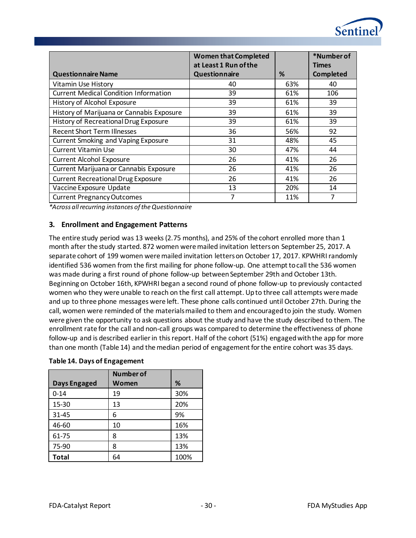

*\*Across all recurring instances of the Questionnaire*

## **3. Enrollment and Engagement Patterns**

The entire study period was 13 weeks (2.75 months), and 25% of the cohort enrolled more than 1 month after the study started. 872 women were mailed invitation letters on September 25, 2017. A separate cohort of 199 women were mailed invitation letters on October 17, 2017. KPWHRI randomly identified 536 women from the first mailing for phone follow-up. One attempt to call the 536 women was made during a first round of phone follow-up between September 29th and October 13th. Beginning on October 16th, KPWHRI began a second round of phone follow-up to previously contacted women who they were unable to reach on the first call attempt. Up to three call attempts weremade and up to three phone messages were left. These phone calls continued until October 27th. During the call, women were reminded of the materials mailed to them and encouraged to join the study. Women were given the opportunity to ask questions about the study and have the study described to them. The enrollment rate for the call and non-call groups was compared to determine the effectiveness of phone follow-up and is described earlier in this report. Half of the cohort (51%) engaged with the app for more than one month [\(Table 14\)](#page-32-0) and the median period of engagement for the entire cohort was 35 days.

|                     | <b>Number of</b> |      |
|---------------------|------------------|------|
| <b>Days Engaged</b> | Women            | %    |
| $0 - 14$            | 19               | 30%  |
| 15-30               | 13               | 20%  |
| 31-45               | 6                | 9%   |
| 46-60               | 10               | 16%  |
| 61-75               | 8                | 13%  |
| 75-90               | 8                | 13%  |
| <b>Total</b>        | 64               | 100% |

## <span id="page-32-0"></span>**Table 14. Days of Engagement**

Sentine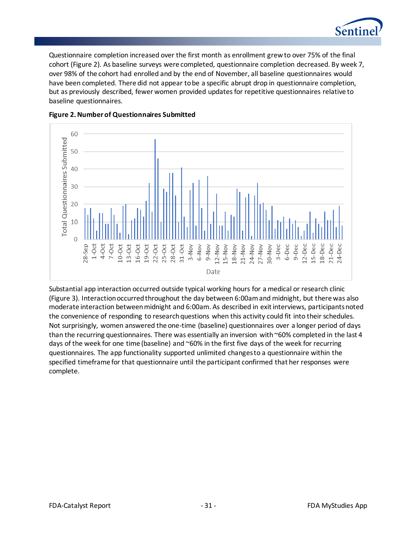

Questionnaire completion increased over the first month as enrollment grew to over 75% of the final cohort [\(Figure 2\)](#page-33-0). As baseline surveys were completed, questionnaire completion decreased. By week 7, over 98% of the cohort had enrolled and by the end of November, all baseline questionnaires would have been completed. There did not appear to be a specific abrupt drop in questionnaire completion, but as previously described, fewer women provided updates for repetitive questionnaires relative to baseline questionnaires.



#### <span id="page-33-0"></span>**Figure 2. Number of Questionnaires Submitted**

Substantial app interaction occurred outside typical working hours for a medical or research clinic [\(Figure 3\)](#page-34-0). Interaction occurred throughout the day between 6:00am and midnight, but there was also moderate interaction between midnight and 6:00am. As described in exit interviews, participants noted the convenience of responding to research questions when this activity could fit into their schedules. Not surprisingly, women answered the one-time (baseline) questionnaires over a longer period of days than the recurring questionnaires. There was essentially an inversion with ~60% completed in the last 4 days of the week for one time (baseline) and ~60% in the first five days of the week for recurring questionnaires. The app functionality supported unlimited changes to a questionnaire within the specified timeframe for that questionnaire until the participant confirmed that her responses were complete.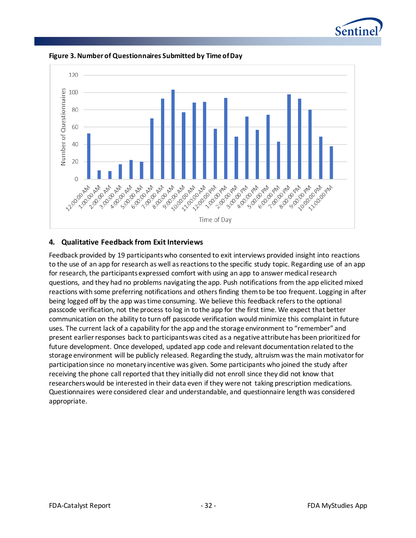



<span id="page-34-0"></span>**Figure 3. Number of Questionnaires Submitted by Time of Day**

#### **4. Qualitative Feedback from Exit Interviews**

Feedback provided by 19 participants who consented to exit interviews provided insight into reactions to the use of an app for research as well as reactions to the specific study topic. Regarding use of an app for research, the participants expressed comfort with using an app to answer medical research questions, and they had no problems navigating the app. Push notifications from the app elicited mixed reactions with some preferring notifications and others finding them to be too frequent. Logging in after being logged off by the app was time consuming. We believe this feedback refers to the optional passcode verification, not the process to log in to the app for the first time. We expect that better communication on the ability to turn off passcode verification would minimize this complaint in future uses. The current lack of a capability for the app and the storage environment to "remember" and present earlier responses back to participants was cited as a negative attribute has been prioritized for future development. Once developed, updated app code and relevant documentation related to the storage environment will be publicly released. Regarding the study, altruism was the main motivator for participation since no monetary incentive was given. Some participants who joined the study after receiving the phone call reported that they initially did not enroll since they did not know that researchers would be interested in their data even if they were not taking prescription medications. Questionnaires were considered clear and understandable, and questionnaire length was considered appropriate.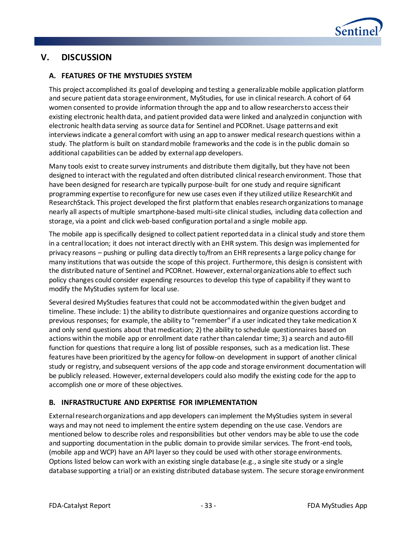

# **V. DISCUSSION**

# **A. FEATURES OF THE MYSTUDIES SYSTEM**

This project accomplished its goal of developing and testing a generalizable mobile application platform and secure patient data storage environment, MyStudies, for use in clinical research. A cohort of 64 women consented to provide information through the app and to allow researchers to access their existing electronic health data, and patient provided data were linked and analyzed in conjunction with electronic health data serving as source data for Sentinel and PCORnet. Usage patterns and exit interviews indicate a general comfort with using an app to answer medical research questions within a study. The platform is built on standard mobile frameworks and the code is in the public domain so additional capabilities can be added by external app developers.

Many tools exist to create survey instruments and distribute them digitally, but they have not been designed to interact with the regulated and often distributed clinical research environment. Those that have been designed for research are typically purpose-built for one study and require significant programming expertise to reconfigure for new use cases even if they utilized utilize ResearchKit and ResearchStack. This project developed the first platform that enables research organizations to manage nearly all aspects of multiple smartphone-based multi-site clinical studies, including data collection and storage, via a point and click web-based configuration portal and a single mobile app.

The mobile app is specifically designed to collect patient reported data in a clinical study and store them in a central location; it does not interact directly with an EHR system. This design was implemented for privacy reasons – pushing or pulling data directly to/from an EHR represents a large policy change for many institutions that was outside the scope of this project. Furthermore, this design is consistent with the distributed nature of Sentinel and PCORnet. However, external organizations able to effect such policy changes could consider expending resources to develop this type of capability if they want to modify the MyStudies system for local use.

Several desired MyStudies features that could not be accommodated within the given budget and timeline. These include: 1) the ability to distribute questionnaires and organize questions according to previous responses; for example, the ability to "remember" if a user indicated they take medication X and only send questions about that medication; 2) the ability to schedule questionnaires based on actions within the mobile app or enrollment date rather than calendar time; 3) a search and auto-fill function for questions that require a long list of possible responses, such as a medication list. These features have been prioritized by the agency for follow-on development in support of another clinical study or registry, and subsequent versions of the app code and storage environment documentation will be publicly released. However, external developers could also modify the existing code for the app to accomplish one or more of these objectives.

## **B. INFRASTRUCTURE AND EXPERTISE FOR IMPLEMENTATION**

External research organizations and app developers can implement the MyStudies system in several ways and may not need to implement the entire system depending on the use case. Vendors are mentioned below to describe roles and responsibilities but other vendors may be able to use the code and supporting documentation in the public domain to provide similar services. The front-end tools, (mobile app and WCP) have an API layer so they could be used with other storage environments. Options listed below can work with an existing single database (e.g., a single site study or a single database supporting a trial) or an existing distributed database system. The secure storage environment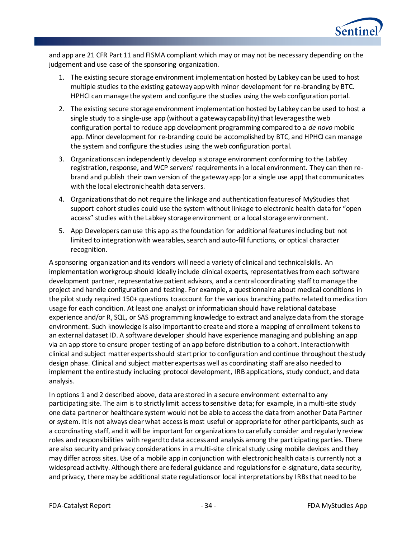

and app are 21 CFR Part 11 and FISMA compliant which may or may not be necessary depending on the judgement and use case of the sponsoring organization.

- 1. The existing secure storage environment implementation hosted by Labkey can be used to host multiple studies to the existing gateway app with minor development for re-branding by BTC. HPHCI can manage the system and configure the studies using the web configuration portal.
- 2. The existing secure storage environment implementation hosted by Labkey can be used to host a single study to a single-use app (without a gateway capability) that leverages the web configuration portal to reduce app development programming compared to a *de novo* mobile app. Minor development for re-branding could be accomplished by BTC, and HPHCI can manage the system and configure the studies using the web configuration portal.
- 3. Organizations can independently develop a storage environment conforming to the LabKey registration, response, and WCP servers' requirements in a local environment. They can then rebrand and publish their own version of the gateway app (or a single use app) that communicates with the local electronic health data servers.
- 4. Organizations that do not require the linkage and authentication features of MyStudies that support cohort studies could use the system without linkage to electronic health data for "open access" studies with the Labkey storage environment or a local storage environment.
- 5. App Developers can use this app as the foundation for additional features including but not limited to integration with wearables, search and auto-fill functions, or optical character recognition.

A sponsoring organization and its vendors will need a variety of clinical and technical skills. An implementation workgroup should ideally include clinical experts, representatives from each software development partner, representative patient advisors, and a central coordinating staff to manage the project and handle configuration and testing. For example, a questionnaire about medical conditions in the pilot study required 150+ questions to account for the various branching paths related to medication usage for each condition. At least one analyst or informatician should have relational database experience and/or R, SQL, or SAS programming knowledge to extract and analyze data from the storage environment. Such knowledge is also important to create and store a mapping of enrollment tokens to an external dataset ID. A software developer should have experience managing and publishing an app via an app store to ensure proper testing of an app before distribution to a cohort. Interaction with clinical and subject matter experts should start prior to configuration and continue throughout the study design phase. Clinical and subject matter experts as well as coordinating staff are also needed to implement the entire study including protocol development, IRB applications, study conduct, and data analysis.

In options 1 and 2 described above, data are stored in a secure environment external to any participating site. The aim is to strictly limit access to sensitive data; for example, in a multi-site study one data partner or healthcare system would not be able to access the data from another Data Partner or system. It is not always clear what access is most useful or appropriate for other participants, such as a coordinating staff, and it will be important for organizations to carefully consider and regularly review roles and responsibilities with regard to data access and analysis among the participating parties. There are also security and privacy considerations in a multi-site clinical study using mobile devices and they may differ across sites. Use of a mobile app in conjunction with electronic health data is currently not a widespread activity. Although there are federal guidance and regulations for e-signature, data security, and privacy, there may be additional state regulations or local interpretations by IRBs that need to be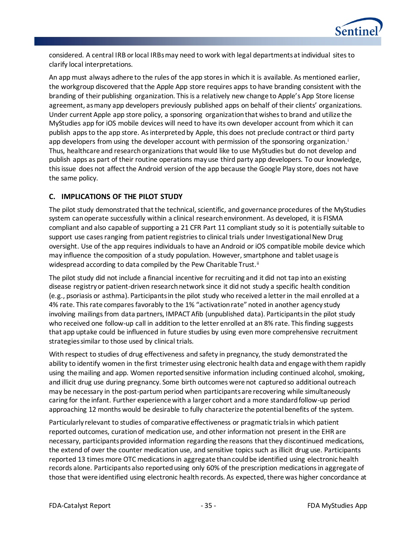

considered. A central IRB or local IRBs may need to work with legal departments at individual sites to clarify local interpretations.

An app must always adhere to the rules of the app stores in which it is available. As mentioned earlier, the workgroup discovered that the Apple App store requires apps to have branding consistent with the branding of their publishing organization. This is a relatively new change to Apple's App Store license agreement, as many app developers previously published apps on behalf of their clients' organizations. Under current Apple app store policy, a sponsoring organization that wishes to brand and utilize the MyStudies app for iOS mobile devices will need to have its own developer account from which it can publish apps to the app store. As interpreted by Apple, this does not preclude contract or third party app developers from using the developer account with permission of the sponsoring organization.<sup>i</sup> Thus, healthcare and research organizations that would like to use MyStudies but do not develop and publish apps as part of their routine operations may use third party app developers. To our knowledge, this issue does not affect the Android version of the app because the Google Play store, does not have the same policy.

# **C. IMPLICATIONS OF THE PILOT STUDY**

The pilot study demonstrated that the technical, scientific, and governance procedures of the MyStudies system can operate successfully within a clinical research environment. As developed, it is FISMA compliant and also capable of supporting a 21 CFR Part 11 compliant study so it is potentially suitable to support use cases ranging from patient registries to clinical trials under Investigational New Drug oversight. Use of the app requires individuals to have an Android or iOS compatible mobile device which may influence the composition of a study population. However, smartphone and tablet usage is widespread according to data compiled by the Pew Charitable Trust.<sup>ii</sup>

The pilot study did not include a financial incentive for recruiting and it did not tap into an existing disease registry or patient-driven research network since it did not study a specific health condition (e.g., psoriasis or asthma). Participants in the pilot study who received a letter in the mail enrolled at a 4% rate. This rate compares favorably to the 1% "activation rate" noted in another agency study involving mailings from data partners, IMPACT Afib (unpublished data). Participants in the pilot study who received one follow-up call in addition to the letter enrolled at an 8% rate. This finding suggests that app uptake could be influenced in future studies by using even more comprehensive recruitment strategies similar to those used by clinical trials.

With respect to studies of drug effectiveness and safety in pregnancy, the study demonstrated the ability to identify women in the first trimester using electronic health data and engage with them rapidly using the mailing and app. Women reported sensitive information including continued alcohol, smoking, and illicit drug use during pregnancy. Some birth outcomes were not captured so additional outreach may be necessary in the post-partum period when participants are recovering while simultaneously caring for the infant. Further experience with a larger cohort and a more standard follow-up period approaching 12 months would be desirable to fully characterize the potential benefits of the system.

Particularly relevant to studies of comparative effectiveness or pragmatic trials in which patient reported outcomes, curation of medication use, and other information not present in the EHR are necessary, participants provided information regarding the reasons that they discontinued medications, the extend of over the counter medication use, and sensitive topics such as illicit drug use. Participants reported 13 times more OTC medications in aggregate than could be identified using electronic health records alone. Participants also reported using only 60% of the prescription medications in aggregate of those that were identified using electronic health records. As expected, there was higher concordance at